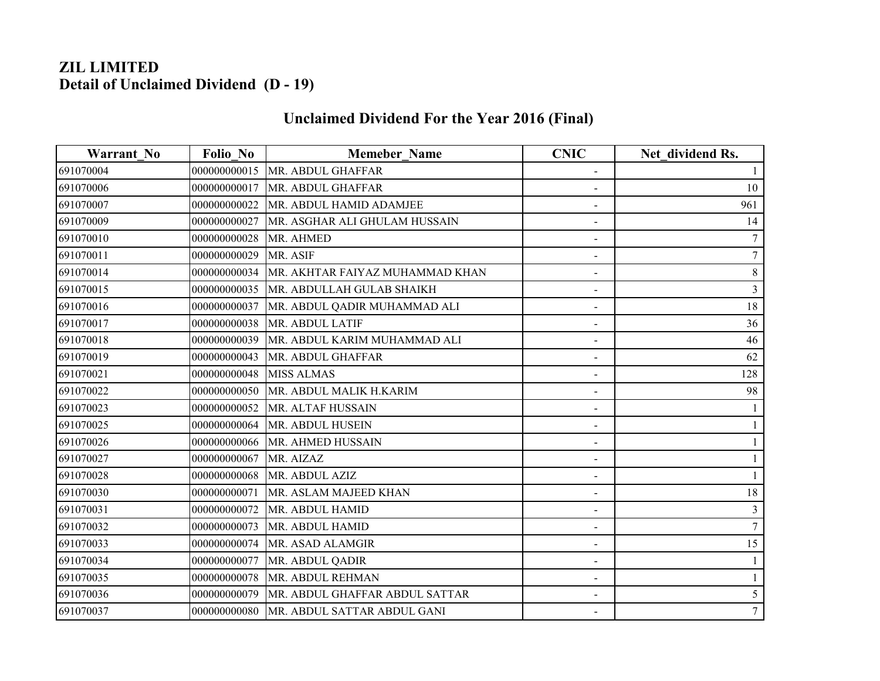## **ZIL LIMITED Detail of Unclaimed Dividend (D - 19)**

## **Unclaimed Dividend For the Year 2016 (Final)**

| <b>Warrant No</b> | <b>Folio No</b> | <b>Memeber Name</b>             | <b>CNIC</b>                  | Net dividend Rs. |
|-------------------|-----------------|---------------------------------|------------------------------|------------------|
| 691070004         | 000000000015    | MR. ABDUL GHAFFAR               |                              |                  |
| 691070006         | 000000000017    | MR. ABDUL GHAFFAR               |                              | 10               |
| 691070007         | 000000000022    | MR. ABDUL HAMID ADAMJEE         |                              | 961              |
| 691070009         | 000000000027    | MR. ASGHAR ALI GHULAM HUSSAIN   | -                            | 14               |
| 691070010         | 000000000028    | MR. AHMED                       |                              |                  |
| 691070011         | 000000000029    | MR. ASIF                        |                              | 7                |
| 691070014         | 000000000034    | MR. AKHTAR FAIYAZ MUHAMMAD KHAN | $\qquad \qquad \blacksquare$ | 8                |
| 691070015         | 000000000035    | MR. ABDULLAH GULAB SHAIKH       |                              | 3                |
| 691070016         | 000000000037    | MR. ABDUL QADIR MUHAMMAD ALI    |                              | 18               |
| 691070017         | 000000000038    | MR. ABDUL LATIF                 | $\qquad \qquad \blacksquare$ | 36               |
| 691070018         | 000000000039    | MR. ABDUL KARIM MUHAMMAD ALI    |                              | 46               |
| 691070019         | 000000000043    | MR. ABDUL GHAFFAR               |                              | 62               |
| 691070021         | 000000000048    | <b>MISS ALMAS</b>               | -                            | 128              |
| 691070022         | 000000000050    | MR. ABDUL MALIK H.KARIM         |                              | 98               |
| 691070023         | 000000000052    | MR. ALTAF HUSSAIN               |                              |                  |
| 691070025         | 000000000064    | MR. ABDUL HUSEIN                | -                            |                  |
| 691070026         | 000000000066    | MR. AHMED HUSSAIN               |                              |                  |
| 691070027         | 000000000067    | MR. AIZAZ                       |                              |                  |
| 691070028         | 000000000068    | MR. ABDUL AZIZ                  |                              |                  |
| 691070030         | 000000000071    | MR. ASLAM MAJEED KHAN           |                              | 18               |
| 691070031         | 000000000072    | MR. ABDUL HAMID                 |                              | 3                |
| 691070032         | 000000000073    | MR. ABDUL HAMID                 | $\overline{\phantom{0}}$     | 7                |
| 691070033         | 000000000074    | MR. ASAD ALAMGIR                |                              | 15               |
| 691070034         | 000000000077    | MR. ABDUL QADIR                 |                              |                  |
| 691070035         | 000000000078    | MR. ABDUL REHMAN                | $\overline{\phantom{0}}$     |                  |
| 691070036         | 000000000079    | MR. ABDUL GHAFFAR ABDUL SATTAR  | $\overline{\phantom{a}}$     |                  |
| 691070037         | 000000000080    | MR. ABDUL SATTAR ABDUL GANI     |                              |                  |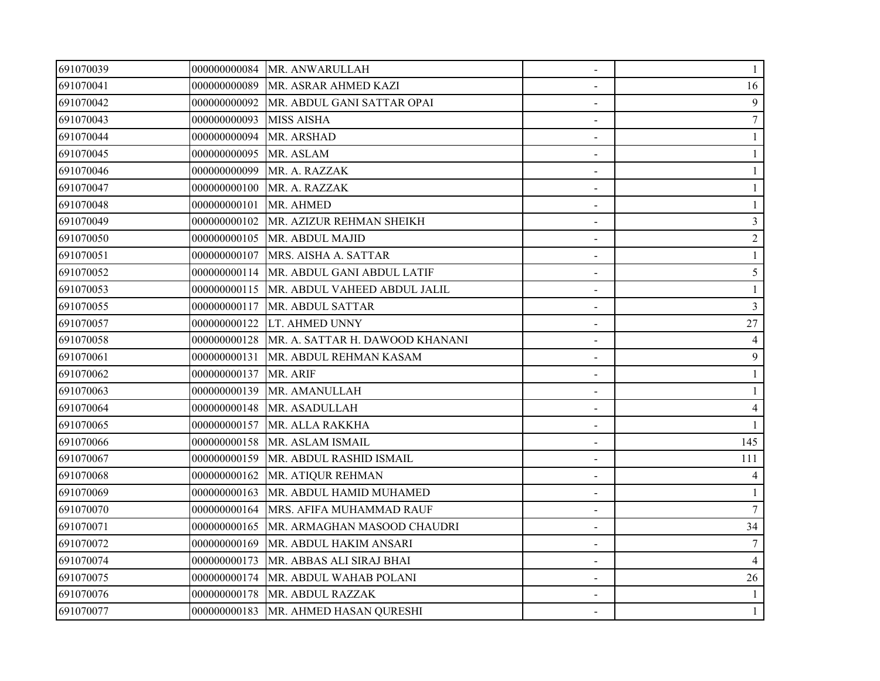| 691070039 |              | 000000000084 MR. ANWARULLAH                |                | 1              |
|-----------|--------------|--------------------------------------------|----------------|----------------|
| 691070041 | 000000000089 | MR. ASRAR AHMED KAZI                       |                | 16             |
| 691070042 | 000000000092 | MR. ABDUL GANI SATTAR OPAI                 |                | 9              |
| 691070043 | 000000000093 | <b>MISS AISHA</b>                          |                | 7              |
| 691070044 | 000000000094 | <b>MR. ARSHAD</b>                          | $\blacksquare$ |                |
| 691070045 | 000000000095 | MR. ASLAM                                  |                |                |
| 691070046 | 000000000099 | MR. A. RAZZAK                              |                |                |
| 691070047 | 000000000100 | MR. A. RAZZAK                              |                |                |
| 691070048 | 000000000101 | MR. AHMED                                  |                |                |
| 691070049 | 000000000102 | MR. AZIZUR REHMAN SHEIKH                   |                | $\overline{3}$ |
| 691070050 | 000000000105 | MR. ABDUL MAJID                            |                | $\overline{2}$ |
| 691070051 | 000000000107 | MRS. AISHA A. SATTAR                       | $\blacksquare$ |                |
| 691070052 | 000000000114 | MR. ABDUL GANI ABDUL LATIF                 | $\blacksquare$ | 5              |
| 691070053 |              | 000000000115  MR. ABDUL VAHEED ABDUL JALIL |                |                |
| 691070055 | 000000000117 | MR. ABDUL SATTAR                           |                | 3              |
| 691070057 | 000000000122 | LT. AHMED UNNY                             |                | 27             |
| 691070058 | 000000000128 | MR. A. SATTAR H. DAWOOD KHANANI            |                | 4              |
| 691070061 | 000000000131 | MR. ABDUL REHMAN KASAM                     |                | 9              |
| 691070062 | 000000000137 | MR. ARIF                                   |                |                |
| 691070063 | 000000000139 | MR. AMANULLAH                              | $\blacksquare$ |                |
| 691070064 | 000000000148 | MR. ASADULLAH                              |                | $\overline{4}$ |
| 691070065 | 000000000157 | MR. ALLA RAKKHA                            |                |                |
| 691070066 | 000000000158 | MR. ASLAM ISMAIL                           |                | 145            |
| 691070067 | 000000000159 | MR. ABDUL RASHID ISMAIL                    |                | 111            |
| 691070068 | 000000000162 | MR. ATIQUR REHMAN                          |                | $\overline{4}$ |
| 691070069 | 000000000163 | MR. ABDUL HAMID MUHAMED                    |                |                |
| 691070070 | 000000000164 | MRS. AFIFA MUHAMMAD RAUF                   |                | $\overline{7}$ |
| 691070071 | 000000000165 | MR. ARMAGHAN MASOOD CHAUDRI                | $\sim$         | 34             |
| 691070072 | 000000000169 | MR. ABDUL HAKIM ANSARI                     |                |                |
| 691070074 | 000000000173 | MR. ABBAS ALI SIRAJ BHAI                   |                | 4              |
| 691070075 | 000000000174 | MR. ABDUL WAHAB POLANI                     |                | 26             |
| 691070076 | 000000000178 | MR. ABDUL RAZZAK                           |                |                |
| 691070077 |              | 000000000183   MR. AHMED HASAN QURESHI     |                |                |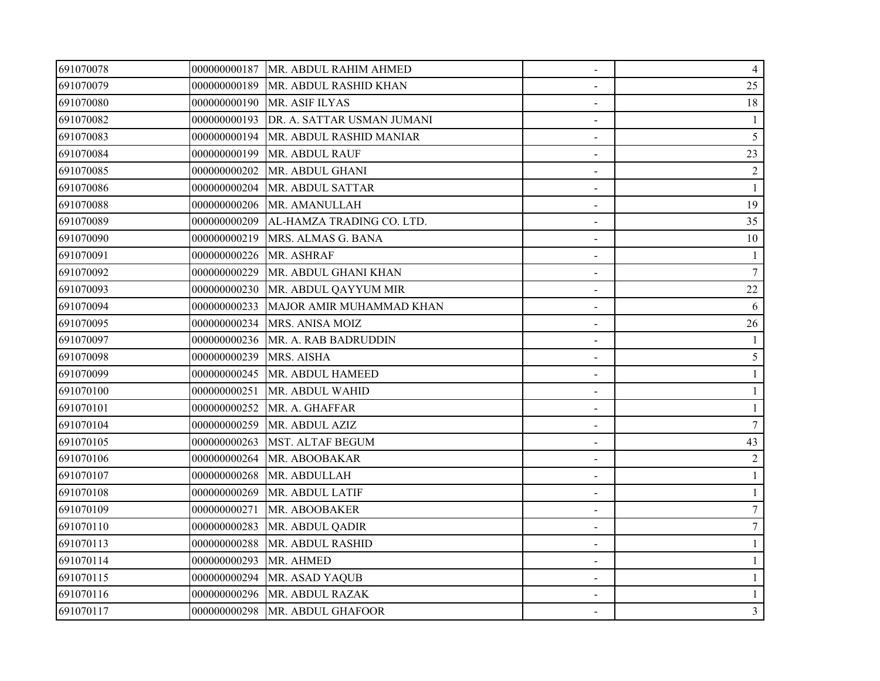| 691070078 |              | 000000000187   MR. ABDUL RAHIM AHMED | $\overline{\phantom{a}}$ | 4              |
|-----------|--------------|--------------------------------------|--------------------------|----------------|
| 691070079 | 000000000189 | MR. ABDUL RASHID KHAN                |                          | 25             |
| 691070080 | 000000000190 | MR. ASIF ILYAS                       |                          | 18             |
| 691070082 | 000000000193 | DR. A. SATTAR USMAN JUMANI           |                          |                |
| 691070083 | 000000000194 | MR. ABDUL RASHID MANIAR              | $\blacksquare$           | $\mathfrak{S}$ |
| 691070084 | 000000000199 | MR. ABDUL RAUF                       |                          | 23             |
| 691070085 | 000000000202 | MR. ABDUL GHANI                      |                          | $\overline{2}$ |
| 691070086 | 000000000204 | MR. ABDUL SATTAR                     |                          |                |
| 691070088 | 000000000206 | MR. AMANULLAH                        |                          | 19             |
| 691070089 | 000000000209 | AL-HAMZA TRADING CO. LTD.            |                          | 35             |
| 691070090 | 000000000219 | MRS. ALMAS G. BANA                   |                          | 10             |
| 691070091 | 000000000226 | MR. ASHRAF                           |                          |                |
| 691070092 | 000000000229 | MR. ABDUL GHANI KHAN                 | $\overline{\phantom{a}}$ | 7              |
| 691070093 | 000000000230 | MR. ABDUL QAYYUM MIR                 |                          | 22             |
| 691070094 | 000000000233 | MAJOR AMIR MUHAMMAD KHAN             |                          | 6              |
| 691070095 | 000000000234 | MRS. ANISA MOIZ                      |                          | 26             |
| 691070097 | 000000000236 | MR. A. RAB BADRUDDIN                 |                          |                |
| 691070098 | 000000000239 | MRS. AISHA                           |                          | 5              |
| 691070099 | 000000000245 | MR. ABDUL HAMEED                     |                          |                |
| 691070100 | 000000000251 | MR. ABDUL WAHID                      |                          |                |
| 691070101 | 000000000252 | MR. A. GHAFFAR                       |                          |                |
| 691070104 | 000000000259 | MR. ABDUL AZIZ                       |                          | $\tau$         |
| 691070105 | 000000000263 | <b>MST. ALTAF BEGUM</b>              |                          | 43             |
| 691070106 | 000000000264 | MR. ABOOBAKAR                        |                          | 2              |
| 691070107 | 000000000268 | MR. ABDULLAH                         |                          | $\mathbf{1}$   |
| 691070108 | 000000000269 | MR. ABDUL LATIF                      |                          |                |
| 691070109 | 000000000271 | MR. ABOOBAKER                        |                          | 7              |
| 691070110 | 000000000283 | MR. ABDUL QADIR                      |                          | $\tau$         |
| 691070113 | 000000000288 | MR. ABDUL RASHID                     |                          |                |
| 691070114 | 000000000293 | MR. AHMED                            |                          |                |
| 691070115 | 000000000294 | MR. ASAD YAQUB                       |                          |                |
| 691070116 | 000000000296 | MR. ABDUL RAZAK                      |                          |                |
| 691070117 |              | 000000000298 MR. ABDUL GHAFOOR       |                          | $\mathfrak{Z}$ |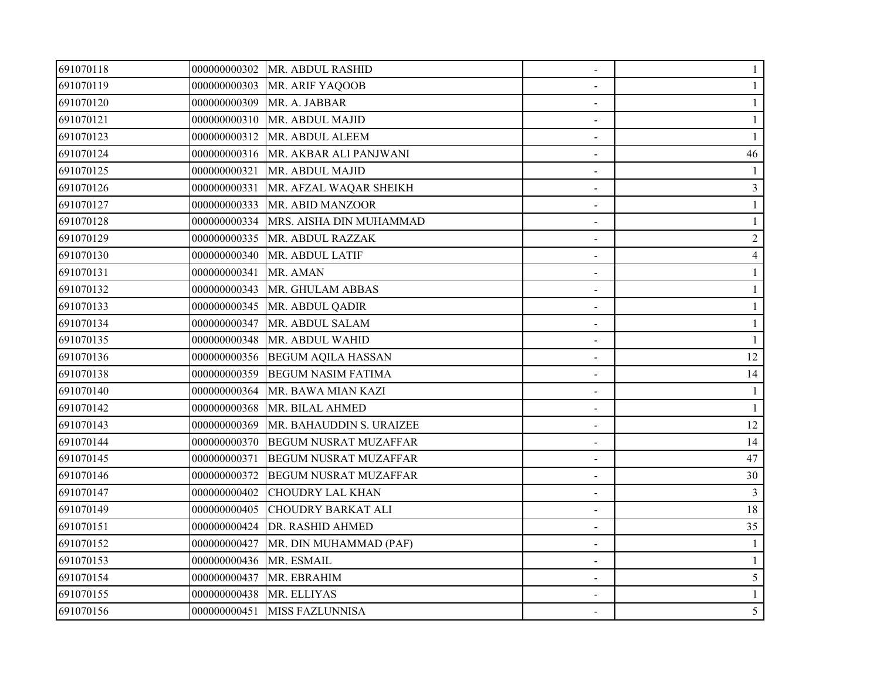| 691070118 |                          | 000000000302   MR. ABDUL RASHID      |                | 1              |
|-----------|--------------------------|--------------------------------------|----------------|----------------|
| 691070119 |                          | 000000000303 MR. ARIF YAQOOB         |                |                |
| 691070120 |                          | 000000000309 MR. A. JABBAR           |                |                |
| 691070121 | 000000000310             | MR. ABDUL MAJID                      |                |                |
| 691070123 | 000000000312             | MR. ABDUL ALEEM                      | $\blacksquare$ |                |
| 691070124 | 000000000316             | MR. AKBAR ALI PANJWANI               | $\sim$         | 46             |
| 691070125 | 000000000321             | MR. ABDUL MAJID                      |                |                |
| 691070126 | 000000000331             | MR. AFZAL WAQAR SHEIKH               |                | 3              |
| 691070127 | 000000000333             | MR. ABID MANZOOR                     |                |                |
| 691070128 |                          | 000000000334 MRS. AISHA DIN MUHAMMAD |                |                |
| 691070129 | 000000000335             | MR. ABDUL RAZZAK                     |                | $\overline{2}$ |
| 691070130 | 000000000340             | MR. ABDUL LATIF                      |                | 4              |
| 691070131 | 000000000341             | MR. AMAN                             | $\blacksquare$ |                |
| 691070132 |                          | 000000000343 MR. GHULAM ABBAS        |                |                |
| 691070133 | 000000000345             | MR. ABDUL QADIR                      |                |                |
| 691070134 | 000000000347             | MR. ABDUL SALAM                      |                |                |
| 691070135 |                          | 000000000348 MR. ABDUL WAHID         |                |                |
| 691070136 |                          | 000000000356 BEGUM AQILA HASSAN      |                | 12             |
| 691070138 | 000000000359             | <b>BEGUM NASIM FATIMA</b>            |                | 14             |
| 691070140 | 000000000364             | MR. BAWA MIAN KAZI                   | $\blacksquare$ |                |
| 691070142 | 000000000368             | MR. BILAL AHMED                      |                | 1              |
| 691070143 | 000000000369             | MR. BAHAUDDIN S. URAIZEE             |                | 12             |
| 691070144 | 000000000370             | <b>BEGUM NUSRAT MUZAFFAR</b>         |                | 14             |
| 691070145 | 000000000371             | <b>BEGUM NUSRAT MUZAFFAR</b>         |                | 47             |
| 691070146 | 000000000372             | <b>BEGUM NUSRAT MUZAFFAR</b>         |                | 30             |
| 691070147 | 000000000402             | <b>CHOUDRY LAL KHAN</b>              |                | 3              |
| 691070149 | 000000000405             | <b>CHOUDRY BARKAT ALI</b>            |                | 18             |
| 691070151 |                          | 000000000424 DR. RASHID AHMED        | $\sim$         | 35             |
| 691070152 | 000000000427             | MR. DIN MUHAMMAD (PAF)               |                |                |
| 691070153 | 000000000436             | MR. ESMAIL                           |                |                |
| 691070154 |                          | 000000000437 MR. EBRAHIM             |                | 5              |
| 691070155 | 000000000438 MR. ELLIYAS |                                      |                |                |
| 691070156 |                          | 000000000451 MISS FAZLUNNISA         |                | 5              |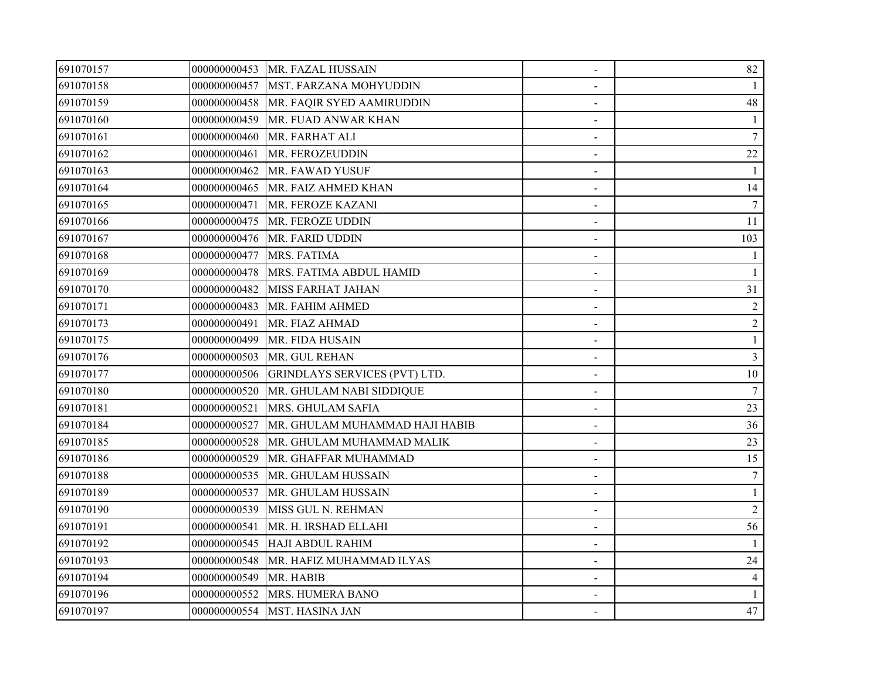| 691070157 |              | 000000000453 MR. FAZAL HUSSAIN | $\blacksquare$ | 82              |
|-----------|--------------|--------------------------------|----------------|-----------------|
| 691070158 | 000000000457 | MST. FARZANA MOHYUDDIN         |                |                 |
| 691070159 | 000000000458 | MR. FAQIR SYED AAMIRUDDIN      |                | 48              |
| 691070160 | 000000000459 | MR. FUAD ANWAR KHAN            |                |                 |
| 691070161 | 000000000460 | MR. FARHAT ALI                 | $\blacksquare$ | $\tau$          |
| 691070162 | 000000000461 | MR. FEROZEUDDIN                |                | 22              |
| 691070163 | 000000000462 | MR. FAWAD YUSUF                |                |                 |
| 691070164 | 000000000465 | MR. FAIZ AHMED KHAN            |                | 14              |
| 691070165 | 000000000471 | MR. FEROZE KAZANI              |                | 7               |
| 691070166 | 000000000475 | MR. FEROZE UDDIN               |                | 11              |
| 691070167 | 000000000476 | MR. FARID UDDIN                |                | 103             |
| 691070168 | 000000000477 | MRS. FATIMA                    | $\blacksquare$ |                 |
| 691070169 | 000000000478 | MRS. FATIMA ABDUL HAMID        | $\blacksquare$ | 1               |
| 691070170 | 000000000482 | <b>MISS FARHAT JAHAN</b>       |                | 31              |
| 691070171 | 000000000483 | MR. FAHIM AHMED                |                | 2               |
| 691070173 | 000000000491 | MR. FIAZ AHMAD                 |                | $\overline{c}$  |
| 691070175 | 000000000499 | MR. FIDA HUSAIN                |                |                 |
| 691070176 | 000000000503 | MR. GUL REHAN                  |                | $\overline{3}$  |
| 691070177 | 000000000506 | GRINDLAYS SERVICES (PVT) LTD.  |                | 10              |
| 691070180 | 000000000520 | MR. GHULAM NABI SIDDIQUE       | $\blacksquare$ | 7               |
| 691070181 | 000000000521 | MRS. GHULAM SAFIA              |                | 23              |
| 691070184 | 000000000527 | MR. GHULAM MUHAMMAD HAJI HABIB |                | 36              |
| 691070185 | 000000000528 | MR. GHULAM MUHAMMAD MALIK      |                | 23              |
| 691070186 | 000000000529 | MR. GHAFFAR MUHAMMAD           |                | 15              |
| 691070188 | 000000000535 | MR. GHULAM HUSSAIN             |                | $7\phantom{.0}$ |
| 691070189 | 000000000537 | MR. GHULAM HUSSAIN             |                |                 |
| 691070190 | 000000000539 | MISS GUL N. REHMAN             | $\blacksquare$ | $\overline{2}$  |
| 691070191 | 000000000541 | MR. H. IRSHAD ELLAHI           | $\blacksquare$ | 56              |
| 691070192 | 000000000545 | <b>HAJI ABDUL RAHIM</b>        |                |                 |
| 691070193 | 000000000548 | MR. HAFIZ MUHAMMAD ILYAS       |                | 24              |
| 691070194 | 000000000549 | MR. HABIB                      |                | 4               |
| 691070196 | 000000000552 | MRS. HUMERA BANO               |                |                 |
| 691070197 |              | 000000000554 MST. HASINA JAN   |                | 47              |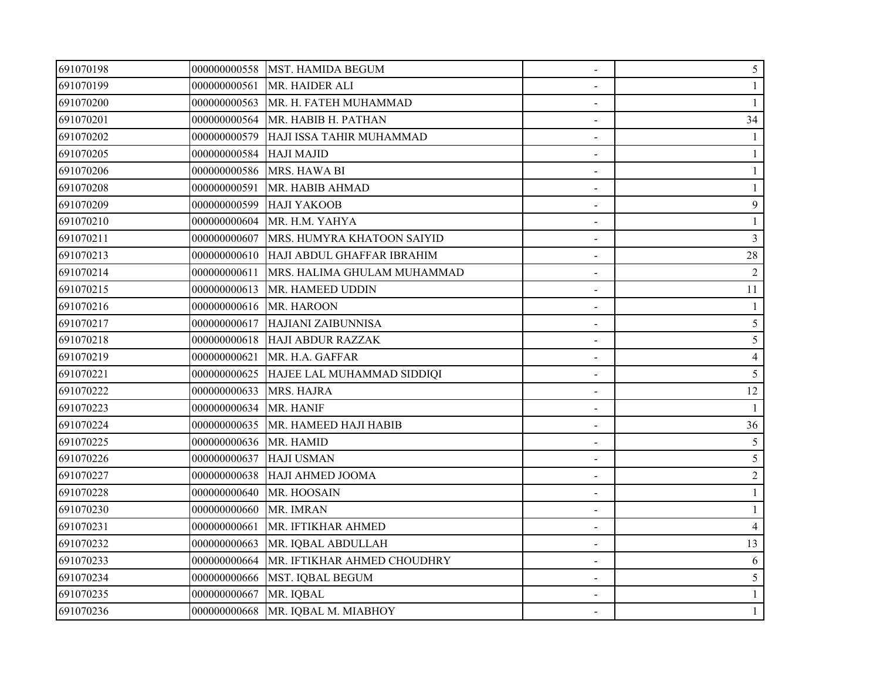| 691070198 |                         | 000000000558 MST. HAMIDA BEGUM           | $\overline{\phantom{a}}$ | 5              |
|-----------|-------------------------|------------------------------------------|--------------------------|----------------|
| 691070199 | 000000000561            | MR. HAIDER ALI                           |                          |                |
| 691070200 | 000000000563            | MR. H. FATEH MUHAMMAD                    |                          |                |
| 691070201 | 000000000564            | MR. HABIB H. PATHAN                      |                          | 34             |
| 691070202 | 000000000579            | HAJI ISSA TAHIR MUHAMMAD                 |                          |                |
| 691070205 | 000000000584            | <b>HAJI MAJID</b>                        |                          |                |
| 691070206 | 000000000586            | MRS. HAWA BI                             |                          |                |
| 691070208 | 000000000591            | MR. HABIB AHMAD                          |                          |                |
| 691070209 | 000000000599            | <b>HAJI YAKOOB</b>                       |                          | 9              |
| 691070210 | 000000000604            | MR. H.M. YAHYA                           |                          |                |
| 691070211 | 000000000607            | MRS. HUMYRA KHATOON SAIYID               |                          | $\overline{3}$ |
| 691070213 | 000000000610            | HAJI ABDUL GHAFFAR IBRAHIM               |                          | 28             |
| 691070214 | 000000000611            | MRS. HALIMA GHULAM MUHAMMAD              | $\overline{\phantom{a}}$ | $\overline{2}$ |
| 691070215 | 000000000613            | MR. HAMEED UDDIN                         |                          | 11             |
| 691070216 | 000000000616 MR. HAROON |                                          |                          |                |
| 691070217 |                         | 000000000617 HAJIANI ZAIBUNNISA          |                          | 5              |
| 691070218 |                         | 000000000618 HAJI ABDUR RAZZAK           |                          | 5              |
| 691070219 | 000000000621            | MR. H.A. GAFFAR                          |                          | $\overline{4}$ |
| 691070221 |                         | 000000000625  HAJEE LAL MUHAMMAD SIDDIQI |                          | 5              |
| 691070222 | 000000000633            | MRS. HAJRA                               | $\blacksquare$           | 12             |
| 691070223 | 000000000634 MR. HANIF  |                                          | $\blacksquare$           |                |
| 691070224 | 000000000635            | MR. HAMEED HAJI HABIB                    |                          | 36             |
| 691070225 | 000000000636            | MR. HAMID                                |                          | 5              |
| 691070226 | 000000000637            | <b>HAJI USMAN</b>                        |                          | 5              |
| 691070227 | 000000000638            | HAJI AHMED JOOMA                         |                          | $\overline{2}$ |
| 691070228 | 000000000640            | MR. HOOSAIN                              |                          |                |
| 691070230 | 000000000660            | MR. IMRAN                                |                          |                |
| 691070231 | 000000000661            | MR. IFTIKHAR AHMED                       |                          | $\overline{4}$ |
| 691070232 | 000000000663            | MR. IQBAL ABDULLAH                       |                          | 13             |
| 691070233 | 000000000664            | MR. IFTIKHAR AHMED CHOUDHRY              |                          | 6              |
| 691070234 | 000000000666            | MST. IQBAL BEGUM                         |                          | 5              |
| 691070235 | 000000000667            | MR. IQBAL                                |                          |                |
| 691070236 | 000000000668            | MR. IQBAL M. MIABHOY                     |                          | $\mathbf{1}$   |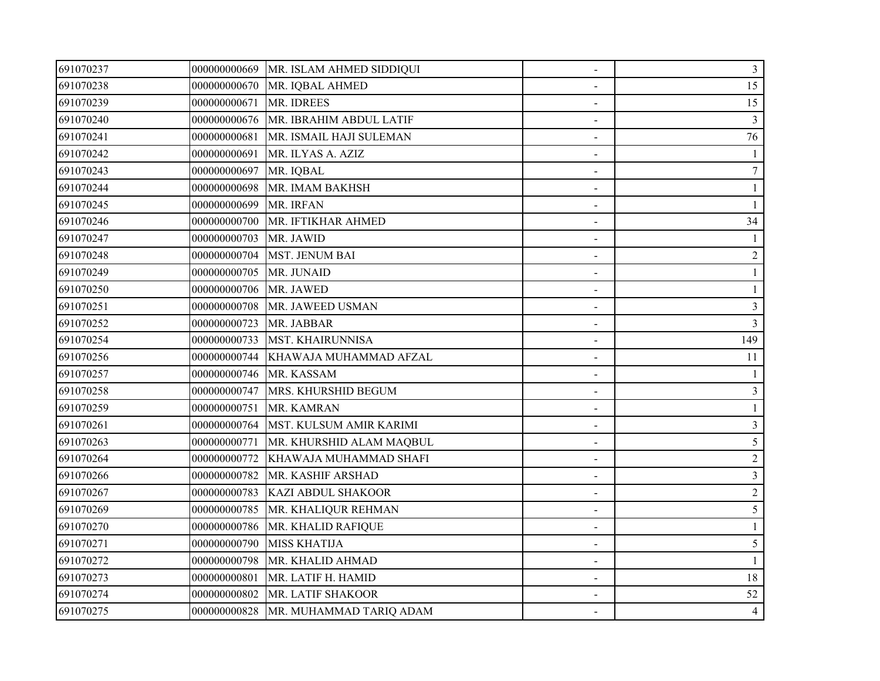| 691070237 | 000000000669 | MR. ISLAM AHMED SIDDIQUI | $\overline{\phantom{a}}$     | $\mathfrak{Z}$ |
|-----------|--------------|--------------------------|------------------------------|----------------|
| 691070238 | 000000000670 | MR. IQBAL AHMED          |                              | 15             |
| 691070239 | 000000000671 | MR. IDREES               |                              | 15             |
| 691070240 | 000000000676 | MR. IBRAHIM ABDUL LATIF  |                              | 3              |
| 691070241 | 000000000681 | MR. ISMAIL HAJI SULEMAN  | $\blacksquare$               | 76             |
| 691070242 | 000000000691 | MR. ILYAS A. AZIZ        |                              |                |
| 691070243 | 000000000697 | MR. IQBAL                |                              | $\tau$         |
| 691070244 | 000000000698 | MR. IMAM BAKHSH          |                              |                |
| 691070245 | 000000000699 | MR. IRFAN                |                              |                |
| 691070246 | 000000000700 | MR. IFTIKHAR AHMED       |                              | 34             |
| 691070247 | 000000000703 | MR. JAWID                |                              |                |
| 691070248 | 000000000704 | <b>MST. JENUM BAI</b>    | $\blacksquare$               | $\overline{2}$ |
| 691070249 | 000000000705 | MR. JUNAID               | $\blacksquare$               |                |
| 691070250 | 000000000706 | MR. JAWED                |                              |                |
| 691070251 | 000000000708 | MR. JAWEED USMAN         |                              | 3              |
| 691070252 | 000000000723 | MR. JABBAR               |                              | $\overline{3}$ |
| 691070254 | 000000000733 | <b>MST. KHAIRUNNISA</b>  |                              | 149            |
| 691070256 | 000000000744 | KHAWAJA MUHAMMAD AFZAL   |                              | 11             |
| 691070257 | 000000000746 | MR. KASSAM               |                              |                |
| 691070258 | 000000000747 | MRS. KHURSHID BEGUM      | $\blacksquare$               | 3              |
| 691070259 | 000000000751 | MR. KAMRAN               |                              |                |
| 691070261 | 000000000764 | MST. KULSUM AMIR KARIMI  |                              | 3              |
| 691070263 | 000000000771 | MR. KHURSHID ALAM MAQBUL |                              | 5              |
| 691070264 | 000000000772 | KHAWAJA MUHAMMAD SHAFI   |                              | $\overline{2}$ |
| 691070266 | 000000000782 | MR. KASHIF ARSHAD        |                              | $\overline{3}$ |
| 691070267 | 000000000783 | KAZI ABDUL SHAKOOR       |                              | $\overline{c}$ |
| 691070269 | 000000000785 | MR. KHALIQUR REHMAN      | $\qquad \qquad \blacksquare$ | 5              |
| 691070270 | 000000000786 | MR. KHALID RAFIQUE       | $\sim$                       |                |
| 691070271 | 000000000790 | <b>MISS KHATIJA</b>      |                              | 5              |
| 691070272 | 000000000798 | MR. KHALID AHMAD         |                              |                |
| 691070273 | 000000000801 | MR. LATIF H. HAMID       |                              | 18             |
| 691070274 | 000000000802 | MR. LATIF SHAKOOR        |                              | 52             |
| 691070275 | 000000000828 | MR. MUHAMMAD TARIQ ADAM  |                              | $\overline{4}$ |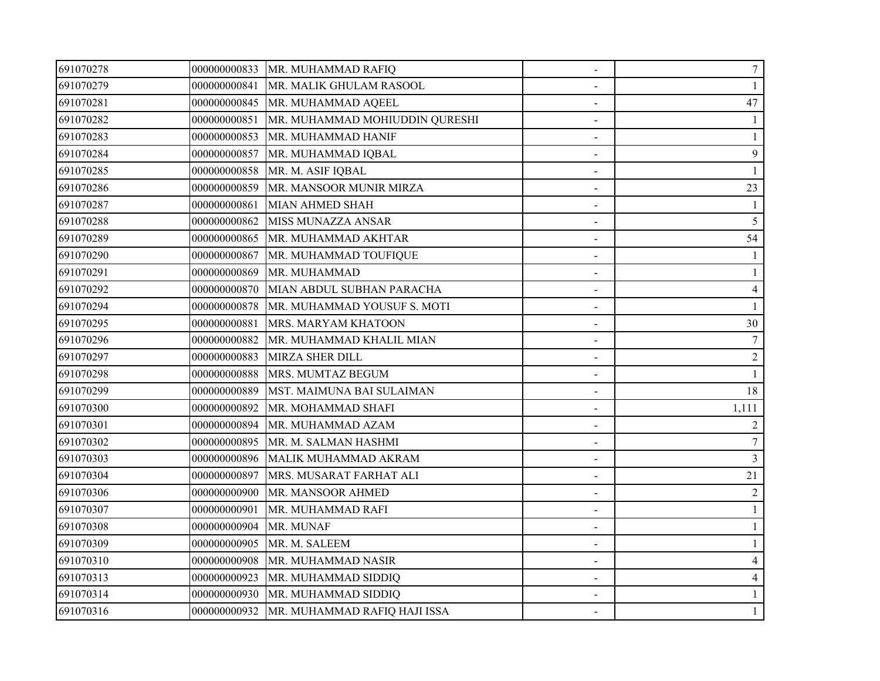| 691070278 |              | 000000000833   MR. MUHAMMAD RAFIQ           | $\blacksquare$           | 7              |
|-----------|--------------|---------------------------------------------|--------------------------|----------------|
| 691070279 | 000000000841 | MR. MALIK GHULAM RASOOL                     |                          |                |
| 691070281 | 000000000845 | MR. MUHAMMAD AQEEL                          |                          | 47             |
| 691070282 | 000000000851 | MR. MUHAMMAD MOHIUDDIN QURESHI              |                          |                |
| 691070283 | 000000000853 | MR. MUHAMMAD HANIF                          | $\blacksquare$           |                |
| 691070284 | 000000000857 | MR. MUHAMMAD IQBAL                          |                          | 9              |
| 691070285 | 000000000858 | MR. M. ASIF IQBAL                           |                          |                |
| 691070286 | 000000000859 | MR. MANSOOR MUNIR MIRZA                     |                          | 23             |
| 691070287 | 000000000861 | <b>MIAN AHMED SHAH</b>                      |                          |                |
| 691070288 | 000000000862 | <b>MISS MUNAZZA ANSAR</b>                   |                          | 5              |
| 691070289 | 000000000865 | MR. MUHAMMAD AKHTAR                         |                          | 54             |
| 691070290 | 000000000867 | MR. MUHAMMAD TOUFIQUE                       |                          |                |
| 691070291 | 000000000869 | MR. MUHAMMAD                                |                          |                |
| 691070292 | 000000000870 | MIAN ABDUL SUBHAN PARACHA                   |                          | $\overline{4}$ |
| 691070294 | 000000000878 | MR. MUHAMMAD YOUSUF S. MOTI                 |                          |                |
| 691070295 | 000000000881 | MRS. MARYAM KHATOON                         |                          | 30             |
| 691070296 | 000000000882 | MR. MUHAMMAD KHALIL MIAN                    |                          | $\tau$         |
| 691070297 | 000000000883 | <b>MIRZA SHER DILL</b>                      |                          | $\overline{2}$ |
| 691070298 | 000000000888 | MRS. MUMTAZ BEGUM                           |                          |                |
| 691070299 | 000000000889 | MST. MAIMUNA BAI SULAIMAN                   | $\overline{\phantom{a}}$ | 18             |
| 691070300 | 000000000892 | MR. MOHAMMAD SHAFI                          |                          | 1,111          |
| 691070301 | 000000000894 | MR. MUHAMMAD AZAM                           |                          |                |
| 691070302 | 000000000895 | MR. M. SALMAN HASHMI                        |                          | $\tau$         |
| 691070303 | 000000000896 | MALIK MUHAMMAD AKRAM                        |                          | 3              |
| 691070304 | 000000000897 | MRS. MUSARAT FARHAT ALI                     |                          | 21             |
| 691070306 | 000000000900 | MR. MANSOOR AHMED                           |                          | $\overline{c}$ |
| 691070307 | 000000000901 | MR. MUHAMMAD RAFI                           | $\blacksquare$           |                |
| 691070308 | 000000000904 | MR. MUNAF                                   | $\blacksquare$           |                |
| 691070309 | 000000000905 | MR. M. SALEEM                               |                          |                |
| 691070310 | 000000000908 | MR. MUHAMMAD NASIR                          |                          |                |
| 691070313 | 000000000923 | MR. MUHAMMAD SIDDIQ                         |                          | $\overline{4}$ |
| 691070314 | 000000000930 | MR. MUHAMMAD SIDDIQ                         |                          |                |
| 691070316 |              | 000000000932   MR. MUHAMMAD RAFIQ HAJI ISSA |                          |                |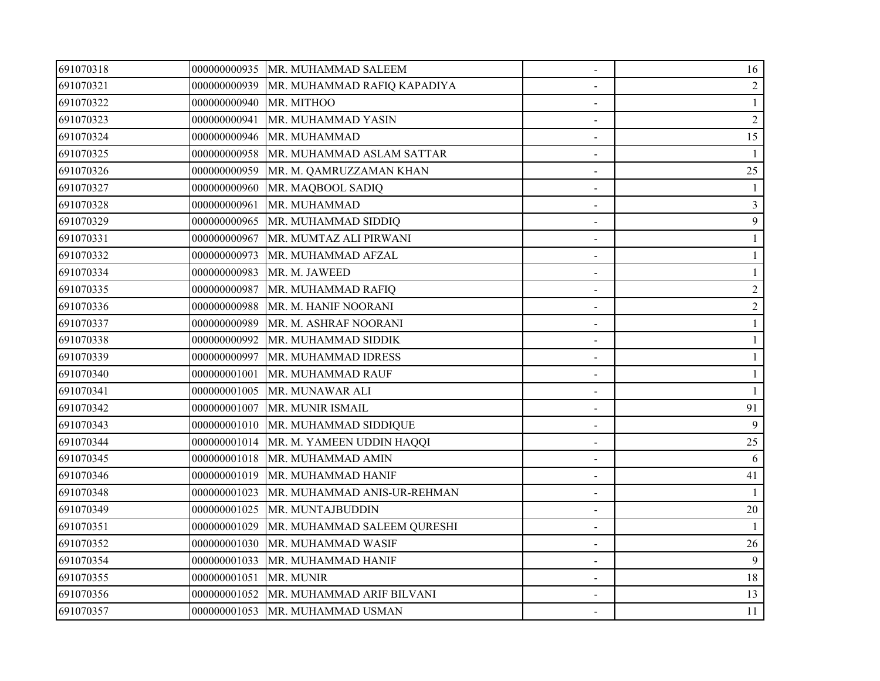| 691070318 |              | 000000000935   MR. MUHAMMAD SALEEM       |                              | 16             |
|-----------|--------------|------------------------------------------|------------------------------|----------------|
| 691070321 | 000000000939 | MR. MUHAMMAD RAFIQ KAPADIYA              |                              | 2              |
| 691070322 | 000000000940 | MR. MITHOO                               |                              | $\mathbf{1}$   |
| 691070323 | 000000000941 | MR. MUHAMMAD YASIN                       |                              | $\sqrt{2}$     |
| 691070324 | 000000000946 | MR. MUHAMMAD                             |                              | 15             |
| 691070325 | 000000000958 | MR. MUHAMMAD ASLAM SATTAR                | $\blacksquare$               |                |
| 691070326 | 000000000959 | MR. M. QAMRUZZAMAN KHAN                  |                              | 25             |
| 691070327 | 000000000960 | MR. MAQBOOL SADIQ                        |                              |                |
| 691070328 | 000000000961 | MR. MUHAMMAD                             |                              | 3              |
| 691070329 | 000000000965 | MR. MUHAMMAD SIDDIQ                      |                              | 9              |
| 691070331 | 000000000967 | MR. MUMTAZ ALI PIRWANI                   |                              |                |
| 691070332 | 000000000973 | MR. MUHAMMAD AFZAL                       |                              |                |
| 691070334 | 000000000983 | MR. M. JAWEED                            | $\overline{\phantom{a}}$     |                |
| 691070335 | 000000000987 | MR. MUHAMMAD RAFIQ                       |                              | $\overline{2}$ |
| 691070336 | 000000000988 | MR. M. HANIF NOORANI                     |                              | 2              |
| 691070337 | 000000000989 | MR. M. ASHRAF NOORANI                    |                              |                |
| 691070338 | 000000000992 | MR. MUHAMMAD SIDDIK                      |                              |                |
| 691070339 | 000000000997 | MR. MUHAMMAD IDRESS                      |                              |                |
| 691070340 | 000000001001 | MR. MUHAMMAD RAUF                        |                              |                |
| 691070341 | 000000001005 | MR. MUNAWAR ALI                          | $\qquad \qquad \blacksquare$ |                |
| 691070342 | 000000001007 | MR. MUNIR ISMAIL                         |                              | 91             |
| 691070343 | 000000001010 | MR. MUHAMMAD SIDDIQUE                    |                              | 9              |
| 691070344 |              | 000000001014   MR. M. YAMEEN UDDIN HAQQI |                              | 25             |
| 691070345 |              | 000000001018   MR. MUHAMMAD AMIN         |                              | 6              |
| 691070346 | 000000001019 | MR. MUHAMMAD HANIF                       |                              | 41             |
| 691070348 | 000000001023 | MR. MUHAMMAD ANIS-UR-REHMAN              |                              |                |
| 691070349 | 000000001025 | MR. MUNTAJBUDDIN                         |                              | 20             |
| 691070351 | 000000001029 | MR. MUHAMMAD SALEEM QURESHI              | $\blacksquare$               |                |
| 691070352 | 000000001030 | MR. MUHAMMAD WASIF                       |                              | 26             |
| 691070354 | 000000001033 | MR. MUHAMMAD HANIF                       |                              | 9              |
| 691070355 | 000000001051 | MR. MUNIR                                |                              | 18             |
| 691070356 |              | 000000001052 MR. MUHAMMAD ARIF BILVANI   |                              | 13             |
| 691070357 |              | 000000001053   MR. MUHAMMAD USMAN        |                              | 11             |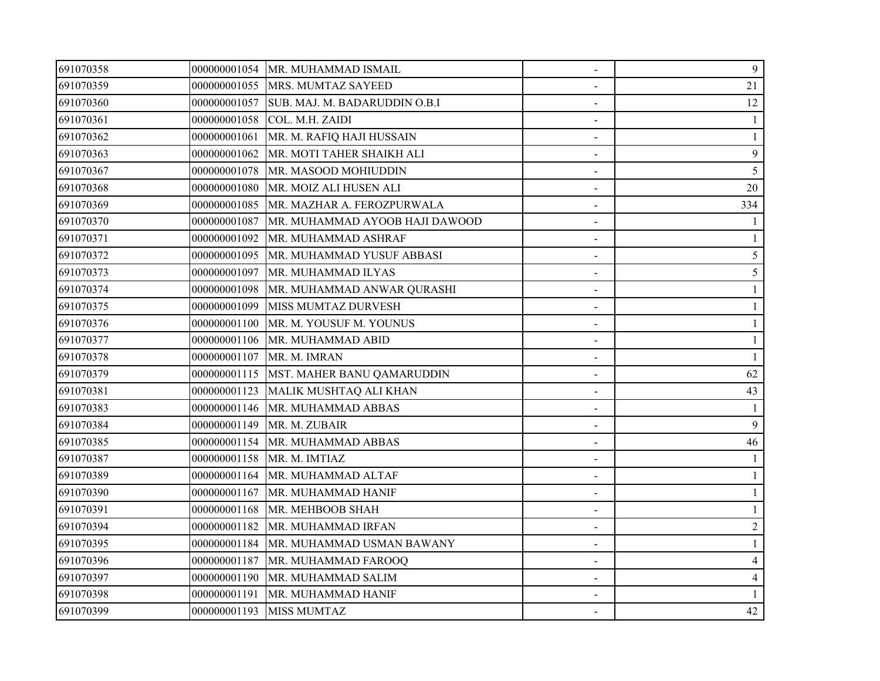| 691070358 |              | 000000001054 MR. MUHAMMAD ISMAIL           | $\blacksquare$ | 9              |
|-----------|--------------|--------------------------------------------|----------------|----------------|
| 691070359 |              | 000000001055 MRS. MUMTAZ SAYEED            |                | 21             |
| 691070360 |              | 000000001057 SUB. MAJ. M. BADARUDDIN O.B.I |                | 12             |
| 691070361 | 000000001058 | COL. M.H. ZAIDI                            |                |                |
| 691070362 | 000000001061 | MR. M. RAFIQ HAJI HUSSAIN                  | $\blacksquare$ |                |
| 691070363 | 000000001062 | MR. MOTI TAHER SHAIKH ALI                  |                | 9              |
| 691070367 | 000000001078 | MR. MASOOD MOHIUDDIN                       |                | 5              |
| 691070368 | 000000001080 | MR. MOIZ ALI HUSEN ALI                     |                | 20             |
| 691070369 | 000000001085 | MR. MAZHAR A. FEROZPURWALA                 |                | 334            |
| 691070370 | 000000001087 | MR. MUHAMMAD AYOOB HAJI DAWOOD             |                |                |
| 691070371 | 000000001092 | MR. MUHAMMAD ASHRAF                        |                |                |
| 691070372 | 000000001095 | MR. MUHAMMAD YUSUF ABBASI                  |                | 5              |
| 691070373 | 000000001097 | MR. MUHAMMAD ILYAS                         |                | 5              |
| 691070374 | 000000001098 | MR. MUHAMMAD ANWAR QURASHI                 |                |                |
| 691070375 | 000000001099 | MISS MUMTAZ DURVESH                        |                |                |
| 691070376 | 000000001100 | MR. M. YOUSUF M. YOUNUS                    |                |                |
| 691070377 | 000000001106 | MR. MUHAMMAD ABID                          |                |                |
| 691070378 | 000000001107 | MR. M. IMRAN                               |                |                |
| 691070379 |              | 000000001115  MST. MAHER BANU QAMARUDDIN   |                | 62             |
| 691070381 | 000000001123 | MALIK MUSHTAQ ALI KHAN                     |                | 43             |
| 691070383 | 000000001146 | MR. MUHAMMAD ABBAS                         |                |                |
| 691070384 | 000000001149 | MR. M. ZUBAIR                              |                | 9              |
| 691070385 |              | 000000001154 MR. MUHAMMAD ABBAS            |                | 46             |
| 691070387 |              | 000000001158   MR. M. IMTIAZ               |                |                |
| 691070389 |              | 000000001164   MR. MUHAMMAD ALTAF          |                |                |
| 691070390 | 000000001167 | MR. MUHAMMAD HANIF                         |                |                |
| 691070391 | 000000001168 | MR. MEHBOOB SHAH                           | $\blacksquare$ |                |
| 691070394 | 000000001182 | MR. MUHAMMAD IRFAN                         | $\sim$         | $\overline{2}$ |
| 691070395 |              | 000000001184   MR. MUHAMMAD USMAN BAWANY   |                |                |
| 691070396 | 000000001187 | MR. MUHAMMAD FAROOQ                        |                | 4              |
| 691070397 | 000000001190 | MR. MUHAMMAD SALIM                         |                | $\overline{4}$ |
| 691070398 | 000000001191 | MR. MUHAMMAD HANIF                         |                |                |
| 691070399 |              | 000000001193 MISS MUMTAZ                   |                | 42             |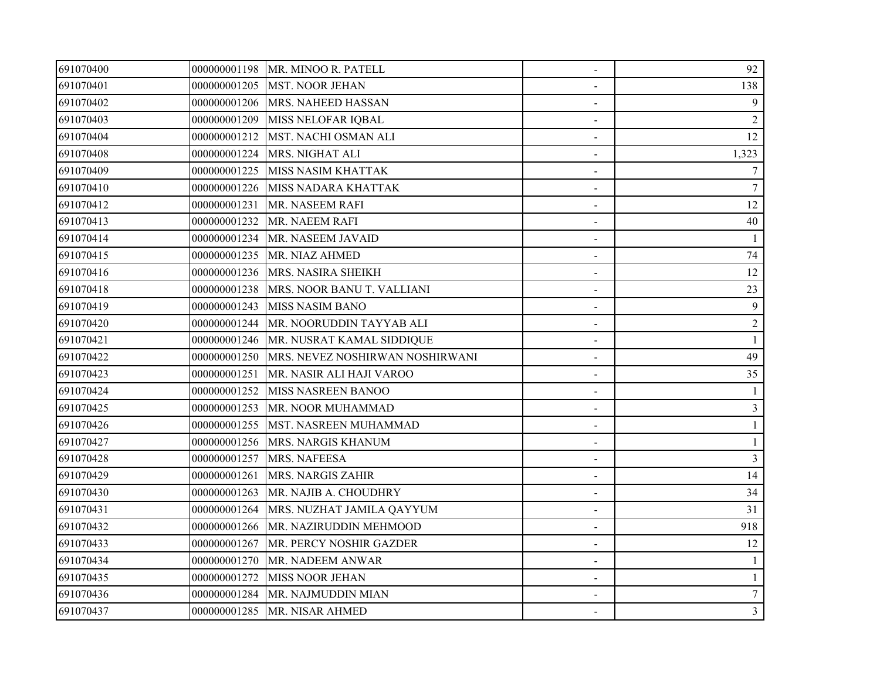| 691070400 |              | 000000001198 MR. MINOO R. PATELL             | $\blacksquare$ | 92              |
|-----------|--------------|----------------------------------------------|----------------|-----------------|
| 691070401 |              | 000000001205 MST. NOOR JEHAN                 |                | 138             |
| 691070402 |              | 000000001206 MRS. NAHEED HASSAN              |                | 9               |
| 691070403 | 000000001209 | MISS NELOFAR IQBAL                           |                | $\overline{2}$  |
| 691070404 | 000000001212 | MST. NACHI OSMAN ALI                         | $\blacksquare$ | 12              |
| 691070408 | 000000001224 | <b>MRS. NIGHAT ALI</b>                       |                | 1,323           |
| 691070409 | 000000001225 | <b>MISS NASIM KHATTAK</b>                    |                | $\tau$          |
| 691070410 | 000000001226 | <b>MISS NADARA KHATTAK</b>                   |                | $7\phantom{.0}$ |
| 691070412 | 000000001231 | MR. NASEEM RAFI                              |                | 12              |
| 691070413 |              | 000000001232 MR. NAEEM RAFI                  |                | 40              |
| 691070414 |              | 000000001234 MR. NASEEM JAVAID               |                |                 |
| 691070415 |              | 000000001235 MR. NIAZ AHMED                  | $\blacksquare$ | 74              |
| 691070416 |              | 000000001236 MRS. NASIRA SHEIKH              | $\blacksquare$ | 12              |
| 691070418 | 000000001238 | MRS. NOOR BANU T. VALLIANI                   |                | 23              |
| 691070419 | 000000001243 | <b>MISS NASIM BANO</b>                       |                | $\mathbf{9}$    |
| 691070420 | 000000001244 | MR. NOORUDDIN TAYYAB ALI                     |                | $\overline{c}$  |
| 691070421 |              | 000000001246   MR. NUSRAT KAMAL SIDDIQUE     |                |                 |
| 691070422 |              | 000000001250 MRS. NEVEZ NOSHIRWAN NOSHIRWANI |                | 49              |
| 691070423 | 000000001251 | MR. NASIR ALI HAJI VAROO                     |                | 35              |
| 691070424 | 000000001252 | MISS NASREEN BANOO                           | $\blacksquare$ |                 |
| 691070425 |              | 000000001253 MR. NOOR MUHAMMAD               |                | $\overline{3}$  |
| 691070426 |              | 000000001255  MST. NASREEN MUHAMMAD          |                |                 |
| 691070427 |              | 000000001256 MRS. NARGIS KHANUM              |                |                 |
| 691070428 | 000000001257 | <b>MRS. NAFEESA</b>                          |                | 3               |
| 691070429 | 000000001261 | <b>MRS. NARGIS ZAHIR</b>                     |                | 14              |
| 691070430 | 000000001263 | MR. NAJIB A. CHOUDHRY                        |                | 34              |
| 691070431 | 000000001264 | MRS. NUZHAT JAMILA QAYYUM                    | $\blacksquare$ | 31              |
| 691070432 | 000000001266 | MR. NAZIRUDDIN MEHMOOD                       | $\sim$         | 918             |
| 691070433 | 000000001267 | MR. PERCY NOSHIR GAZDER                      |                | 12              |
| 691070434 | 000000001270 | MR. NADEEM ANWAR                             |                |                 |
| 691070435 | 000000001272 | <b>MISS NOOR JEHAN</b>                       |                | 1               |
| 691070436 |              | 000000001284   MR. NAJMUDDIN MIAN            |                | $\tau$          |
| 691070437 |              | 000000001285   MR. NISAR AHMED               |                | $\mathfrak{Z}$  |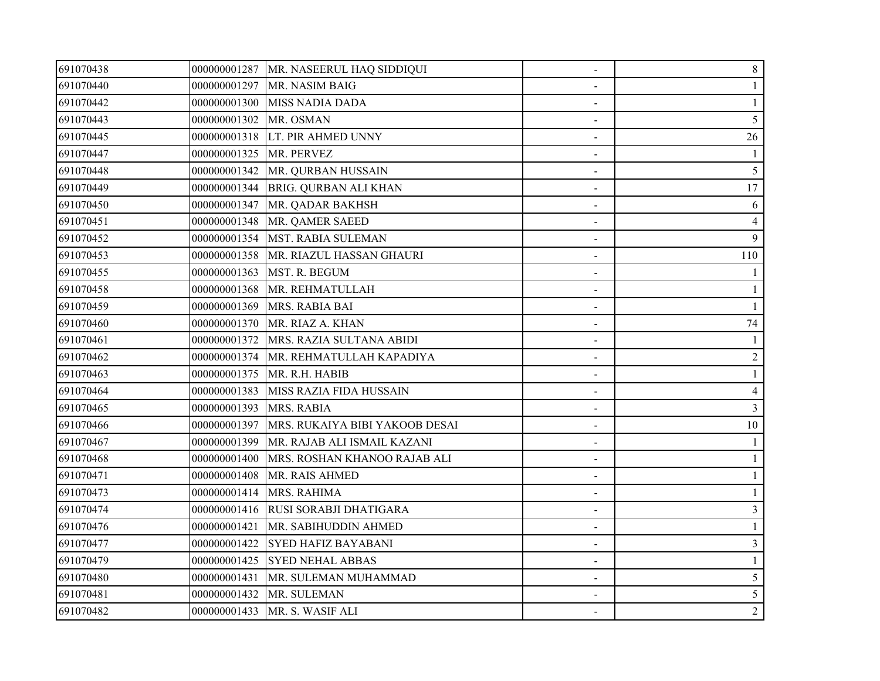| 691070438 |                         | 000000001287   MR. NASEERUL HAQ SIDDIQUI | $\overline{\phantom{a}}$ | 8              |
|-----------|-------------------------|------------------------------------------|--------------------------|----------------|
| 691070440 | 000000001297            | MR. NASIM BAIG                           |                          |                |
| 691070442 |                         | 000000001300 MISS NADIA DADA             |                          |                |
| 691070443 | 000000001302            | MR. OSMAN                                |                          | 5              |
| 691070445 |                         | 000000001318 LT. PIR AHMED UNNY          | $\blacksquare$           | 26             |
| 691070447 | 000000001325 MR. PERVEZ |                                          |                          |                |
| 691070448 |                         | 000000001342   MR. QURBAN HUSSAIN        |                          | 5              |
| 691070449 |                         | 000000001344 BRIG. QURBAN ALI KHAN       |                          | 17             |
| 691070450 | 000000001347            | MR. QADAR BAKHSH                         |                          | 6              |
| 691070451 |                         | 000000001348   MR. QAMER SAEED           |                          | $\overline{4}$ |
| 691070452 |                         | 000000001354   MST. RABIA SULEMAN        |                          | 9              |
| 691070453 | 000000001358            | MR. RIAZUL HASSAN GHAURI                 |                          | 110            |
| 691070455 | 000000001363            | MST. R. BEGUM                            | $\blacksquare$           |                |
| 691070458 | 000000001368            | MR. REHMATULLAH                          |                          |                |
| 691070459 | 000000001369            | MRS. RABIA BAI                           |                          |                |
| 691070460 | 000000001370            | MR. RIAZ A. KHAN                         |                          | 74             |
| 691070461 |                         | 000000001372 MRS. RAZIA SULTANA ABIDI    |                          |                |
| 691070462 |                         | 000000001374 MR. REHMATULLAH KAPADIYA    |                          | $\overline{2}$ |
| 691070463 | 000000001375            | MR. R.H. HABIB                           |                          |                |
| 691070464 | 000000001383            | MISS RAZIA FIDA HUSSAIN                  |                          | $\overline{4}$ |
| 691070465 | 000000001393            | MRS. RABIA                               |                          | $\overline{3}$ |
| 691070466 | 000000001397            | MRS. RUKAIYA BIBI YAKOOB DESAI           |                          | 10             |
| 691070467 | 000000001399            | MR. RAJAB ALI ISMAIL KAZANI              |                          |                |
| 691070468 | 000000001400            | MRS. ROSHAN KHANOO RAJAB ALI             |                          |                |
| 691070471 | 000000001408            | MR. RAIS AHMED                           |                          |                |
| 691070473 | 000000001414            | MRS. RAHIMA                              |                          |                |
| 691070474 |                         | 000000001416 RUSI SORABJI DHATIGARA      |                          | $\mathfrak{Z}$ |
| 691070476 | 000000001421            | MR. SABIHUDDIN AHMED                     |                          |                |
| 691070477 | 000000001422            | <b>SYED HAFIZ BAYABANI</b>               |                          | 3              |
| 691070479 | 000000001425            | <b>SYED NEHAL ABBAS</b>                  |                          |                |
| 691070480 | 000000001431            | MR. SULEMAN MUHAMMAD                     |                          | 5              |
| 691070481 | 000000001432            | MR. SULEMAN                              |                          | 5              |
| 691070482 |                         | 000000001433 MR. S. WASIF ALI            |                          | $\overline{2}$ |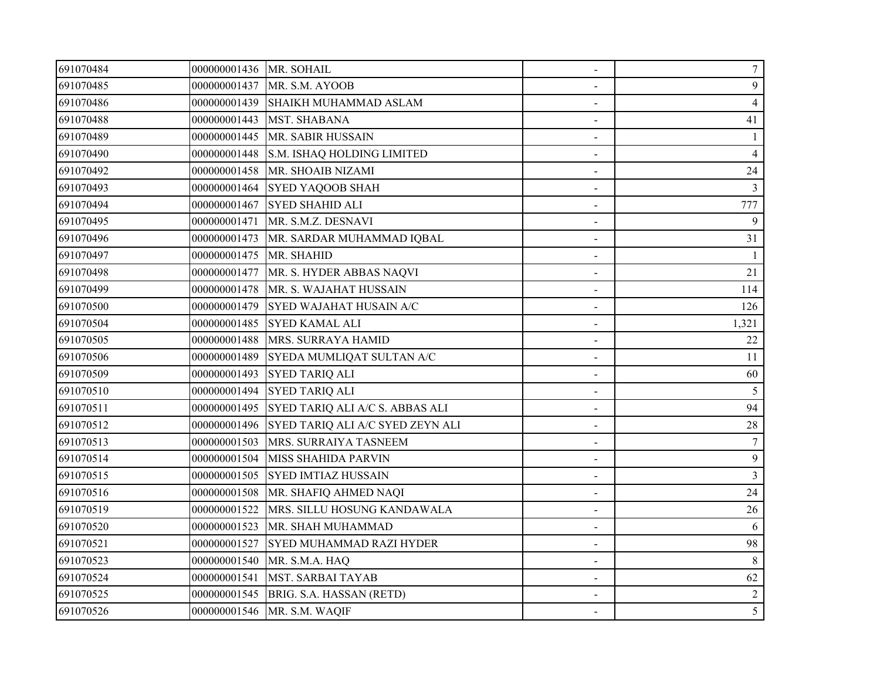| 691070484 | 000000001436 MR. SOHAIL |                                          | $\blacksquare$ | 7              |
|-----------|-------------------------|------------------------------------------|----------------|----------------|
| 691070485 |                         | 000000001437 MR. S.M. AYOOB              |                | 9              |
| 691070486 |                         | 000000001439 SHAIKH MUHAMMAD ASLAM       |                | $\overline{4}$ |
| 691070488 | 000000001443            | <b>MST. SHABANA</b>                      |                | 41             |
| 691070489 | 000000001445            | MR. SABIR HUSSAIN                        |                | 1              |
| 691070490 | 000000001448            | S.M. ISHAQ HOLDING LIMITED               |                | 4              |
| 691070492 |                         | 000000001458   MR. SHOAIB NIZAMI         |                | 24             |
| 691070493 |                         | 000000001464 SYED YAQOOB SHAH            |                | 3              |
| 691070494 |                         | 000000001467 SYED SHAHID ALI             |                | 777            |
| 691070495 |                         | 000000001471   MR. S.M.Z. DESNAVI        |                | 9              |
| 691070496 |                         | 000000001473   MR. SARDAR MUHAMMAD IQBAL |                | 31             |
| 691070497 | 000000001475 MR. SHAHID |                                          | $\blacksquare$ |                |
| 691070498 | 000000001477            | MR. S. HYDER ABBAS NAQVI                 | $\blacksquare$ | 21             |
| 691070499 |                         | 000000001478   MR. S. WAJAHAT HUSSAIN    |                | 114            |
| 691070500 | 000000001479            | SYED WAJAHAT HUSAIN A/C                  |                | 126            |
| 691070504 | 000000001485            | <b>SYED KAMAL ALI</b>                    |                | 1,321          |
| 691070505 |                         | 000000001488   MRS. SURRAYA HAMID        |                | 22             |
| 691070506 | 000000001489            | SYEDA MUMLIQAT SULTAN A/C                |                | 11             |
| 691070509 | 000000001493            | <b>SYED TARIQ ALI</b>                    |                | 60             |
| 691070510 |                         | 000000001494 SYED TARIQ ALI              | $\blacksquare$ | 5              |
| 691070511 | 000000001495            | SYED TARIQ ALI A/C S. ABBAS ALI          |                | 94             |
| 691070512 | 000000001496            | SYED TARIQ ALI A/C SYED ZEYN ALI         |                | 28             |
| 691070513 | 000000001503            | MRS. SURRAIYA TASNEEM                    |                | 7              |
| 691070514 | 000000001504            | <b>MISS SHAHIDA PARVIN</b>               |                | 9              |
| 691070515 |                         | 000000001505 SYED IMTIAZ HUSSAIN         |                | $\overline{3}$ |
| 691070516 | 000000001508            | MR. SHAFIQ AHMED NAQI                    |                | 24             |
| 691070519 | 000000001522            | MRS. SILLU HOSUNG KANDAWALA              |                | 26             |
| 691070520 | 000000001523            | MR. SHAH MUHAMMAD                        | $\blacksquare$ | 6              |
| 691070521 | 000000001527            | <b>SYED MUHAMMAD RAZI HYDER</b>          |                | 98             |
| 691070523 | 000000001540            | MR. S.M.A. HAQ                           |                | 8              |
| 691070524 | 000000001541            | <b>MST. SARBAI TAYAB</b>                 |                | 62             |
| 691070525 |                         | 000000001545 BRIG. S.A. HASSAN (RETD)    |                | 2              |
| 691070526 |                         | 000000001546 MR. S.M. WAQIF              |                | 5 <sup>5</sup> |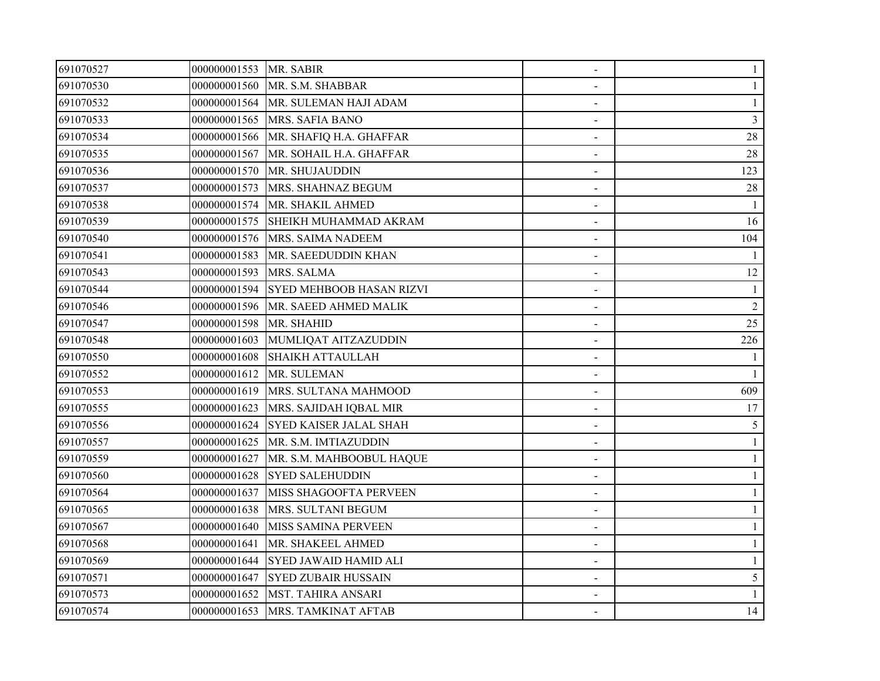| 691070527 | 000000001553 MR. SABIR  |                                         | $\overline{\phantom{a}}$ |                |
|-----------|-------------------------|-----------------------------------------|--------------------------|----------------|
| 691070530 |                         | 000000001560 MR. S.M. SHABBAR           |                          |                |
| 691070532 |                         | 000000001564   MR. SULEMAN HAJI ADAM    |                          |                |
| 691070533 |                         | 000000001565 MRS. SAFIA BANO            |                          | 3              |
| 691070534 | 000000001566            | MR. SHAFIQ H.A. GHAFFAR                 | $\blacksquare$           | 28             |
| 691070535 | 000000001567            | MR. SOHAIL H.A. GHAFFAR                 |                          | 28             |
| 691070536 |                         | 000000001570 MR. SHUJAUDDIN             |                          | 123            |
| 691070537 |                         | 000000001573 MRS. SHAHNAZ BEGUM         |                          | $28\,$         |
| 691070538 |                         | 000000001574 MR. SHAKIL AHMED           |                          |                |
| 691070539 |                         | 000000001575 SHEIKH MUHAMMAD AKRAM      |                          | 16             |
| 691070540 |                         | 000000001576 MRS. SAIMA NADEEM          |                          | 104            |
| 691070541 | 000000001583            | MR. SAEEDUDDIN KHAN                     |                          |                |
| 691070543 | 000000001593 MRS. SALMA |                                         |                          | 12             |
| 691070544 |                         | 000000001594 SYED MEHBOOB HASAN RIZVI   |                          |                |
| 691070546 | 000000001596            | MR. SAEED AHMED MALIK                   |                          | $\overline{2}$ |
| 691070547 | 000000001598 MR. SHAHID |                                         |                          | 25             |
| 691070548 |                         | 000000001603 MUMLIQAT AITZAZUDDIN       |                          | 226            |
| 691070550 |                         | 000000001608 SHAIKH ATTAULLAH           |                          |                |
| 691070552 |                         | 000000001612 MR. SULEMAN                |                          |                |
| 691070553 | 000000001619            | MRS. SULTANA MAHMOOD                    | $\blacksquare$           | 609            |
| 691070555 |                         | 000000001623 MRS. SAJIDAH IQBAL MIR     |                          | 17             |
| 691070556 |                         | 000000001624 SYED KAISER JALAL SHAH     |                          | 5              |
| 691070557 |                         | 000000001625   MR. S.M. IMTIAZUDDIN     |                          |                |
| 691070559 |                         | 000000001627   MR. S.M. MAHBOOBUL HAQUE |                          |                |
| 691070560 |                         | 000000001628 SYED SALEHUDDIN            |                          |                |
| 691070564 | 000000001637            | MISS SHAGOOFTA PERVEEN                  |                          |                |
| 691070565 | 000000001638            | MRS. SULTANI BEGUM                      | $\blacksquare$           |                |
| 691070567 | 000000001640            | MISS SAMINA PERVEEN                     | $\blacksquare$           |                |
| 691070568 | 000000001641            | MR. SHAKEEL AHMED                       |                          |                |
| 691070569 |                         | 000000001644 SYED JAWAID HAMID ALI      |                          |                |
| 691070571 |                         | 000000001647 SYED ZUBAIR HUSSAIN        |                          | 5              |
| 691070573 |                         | 000000001652 MST. TAHIRA ANSARI         |                          |                |
| 691070574 |                         | 000000001653   MRS. TAMKINAT AFTAB      |                          | 14             |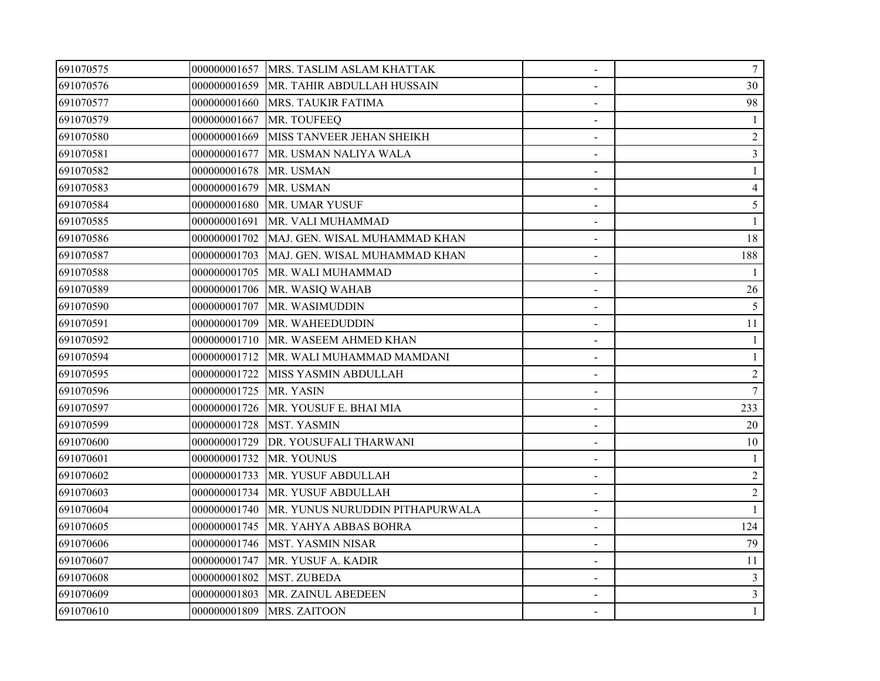| 691070575 |              | 000000001657   MRS. TASLIM ASLAM KHATTAK | $\overline{\phantom{a}}$ | $\tau$         |
|-----------|--------------|------------------------------------------|--------------------------|----------------|
| 691070576 | 000000001659 | MR. TAHIR ABDULLAH HUSSAIN               |                          | 30             |
| 691070577 | 000000001660 | MRS. TAUKIR FATIMA                       |                          | 98             |
| 691070579 | 000000001667 | MR. TOUFEEQ                              |                          |                |
| 691070580 | 000000001669 | MISS TANVEER JEHAN SHEIKH                | $\blacksquare$           | $\sqrt{2}$     |
| 691070581 | 000000001677 | MR. USMAN NALIYA WALA                    |                          | 3              |
| 691070582 | 000000001678 | MR. USMAN                                |                          |                |
| 691070583 | 000000001679 | MR. USMAN                                |                          | 4              |
| 691070584 | 000000001680 | MR. UMAR YUSUF                           |                          | 5              |
| 691070585 | 000000001691 | MR. VALI MUHAMMAD                        |                          |                |
| 691070586 | 000000001702 | MAJ. GEN. WISAL MUHAMMAD KHAN            |                          | 18             |
| 691070587 | 000000001703 | MAJ. GEN. WISAL MUHAMMAD KHAN            |                          | 188            |
| 691070588 | 000000001705 | MR. WALI MUHAMMAD                        | $\overline{\phantom{a}}$ |                |
| 691070589 | 000000001706 | MR. WASIQ WAHAB                          |                          | 26             |
| 691070590 | 000000001707 | MR. WASIMUDDIN                           |                          | 5              |
| 691070591 | 000000001709 | MR. WAHEEDUDDIN                          |                          | 11             |
| 691070592 | 000000001710 | MR. WASEEM AHMED KHAN                    |                          |                |
| 691070594 | 000000001712 | MR. WALI MUHAMMAD MAMDANI                |                          |                |
| 691070595 | 000000001722 | MISS YASMIN ABDULLAH                     |                          | $\overline{c}$ |
| 691070596 | 000000001725 | MR. YASIN                                |                          | $\overline{7}$ |
| 691070597 | 000000001726 | MR. YOUSUF E. BHAI MIA                   |                          | 233            |
| 691070599 | 000000001728 | <b>MST. YASMIN</b>                       |                          | 20             |
| 691070600 | 000000001729 | DR. YOUSUFALI THARWANI                   |                          | 10             |
| 691070601 | 000000001732 | MR. YOUNUS                               |                          |                |
| 691070602 | 000000001733 | MR. YUSUF ABDULLAH                       |                          | $\sqrt{2}$     |
| 691070603 | 000000001734 | MR. YUSUF ABDULLAH                       |                          | $\overline{2}$ |
| 691070604 | 000000001740 | MR. YUNUS NURUDDIN PITHAPURWALA          |                          |                |
| 691070605 | 000000001745 | MR. YAHYA ABBAS BOHRA                    |                          | 124            |
| 691070606 | 000000001746 | <b>MST. YASMIN NISAR</b>                 |                          | 79             |
| 691070607 | 000000001747 | MR. YUSUF A. KADIR                       |                          | 11             |
| 691070608 | 000000001802 | MST. ZUBEDA                              |                          | 3              |
| 691070609 | 000000001803 | MR. ZAINUL ABEDEEN                       |                          | 3              |
| 691070610 | 000000001809 | MRS. ZAITOON                             |                          | $\mathbf{1}$   |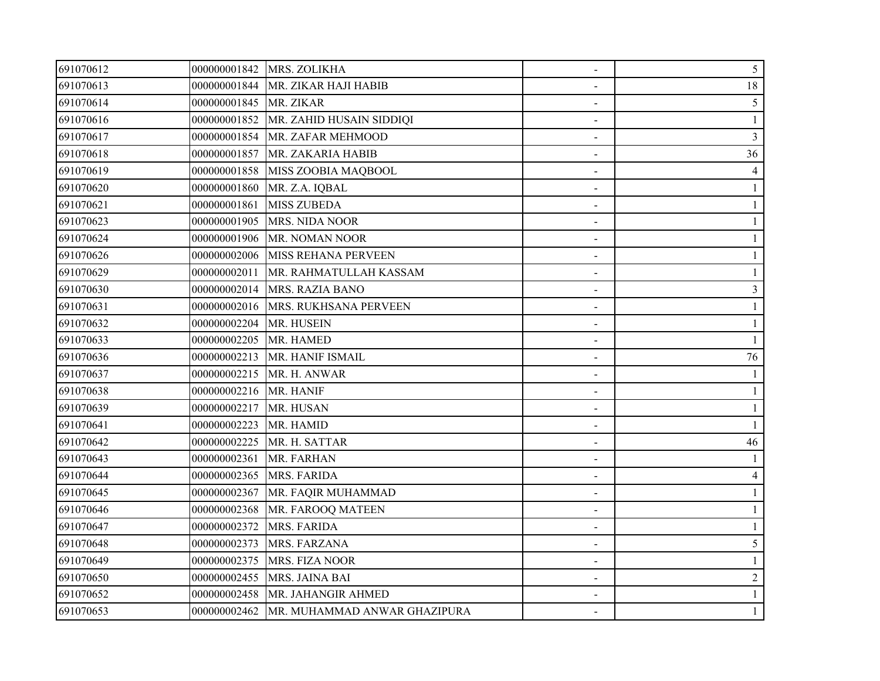| 691070612 |                         | 000000001842   MRS. ZOLIKHA                 |                | $5\overline{)}$ |
|-----------|-------------------------|---------------------------------------------|----------------|-----------------|
| 691070613 |                         | 000000001844   MR. ZIKAR HAJI HABIB         |                | 18              |
| 691070614 | 000000001845 MR. ZIKAR  |                                             |                | 5               |
| 691070616 | 000000001852            | MR. ZAHID HUSAIN SIDDIQI                    |                |                 |
| 691070617 | 000000001854            | MR. ZAFAR MEHMOOD                           | $\blacksquare$ | 3               |
| 691070618 | 000000001857            | MR. ZAKARIA HABIB                           |                | 36              |
| 691070619 | 000000001858            | MISS ZOOBIA MAQBOOL                         |                |                 |
| 691070620 | 000000001860            | MR. Z.A. IQBAL                              |                |                 |
| 691070621 | 000000001861            | <b>MISS ZUBEDA</b>                          |                |                 |
| 691070623 |                         | 000000001905 MRS. NIDA NOOR                 |                |                 |
| 691070624 | 000000001906            | MR. NOMAN NOOR                              |                |                 |
| 691070626 | 000000002006            | <b>MISS REHANA PERVEEN</b>                  |                |                 |
| 691070629 | 000000002011            | MR. RAHMATULLAH KASSAM                      |                |                 |
| 691070630 |                         | 000000002014 MRS. RAZIA BANO                |                | 3               |
| 691070631 | 000000002016            | MRS. RUKHSANA PERVEEN                       |                |                 |
| 691070632 | 000000002204 MR. HUSEIN |                                             |                |                 |
| 691070633 | 000000002205            | MR. HAMED                                   |                |                 |
| 691070636 |                         | 000000002213   MR. HANIF ISMAIL             |                | 76              |
| 691070637 | 000000002215            | MR. H. ANWAR                                |                |                 |
| 691070638 | 000000002216            | MR. HANIF                                   |                |                 |
| 691070639 | 000000002217            | MR. HUSAN                                   |                |                 |
| 691070641 | 000000002223            | MR. HAMID                                   |                |                 |
| 691070642 |                         | 000000002225 MR. H. SATTAR                  |                | 46              |
| 691070643 | 000000002361            | MR. FARHAN                                  |                |                 |
| 691070644 | 000000002365            | MRS. FARIDA                                 |                | $\overline{4}$  |
| 691070645 | 000000002367            | MR. FAQIR MUHAMMAD                          |                |                 |
| 691070646 | 000000002368            | MR. FAROOQ MATEEN                           |                |                 |
| 691070647 | 000000002372            | MRS. FARIDA                                 |                |                 |
| 691070648 | 000000002373            | MRS. FARZANA                                |                | 5               |
| 691070649 | 000000002375            | MRS. FIZA NOOR                              |                |                 |
| 691070650 | 000000002455            | MRS. JAINA BAI                              |                | $\overline{c}$  |
| 691070652 | 000000002458            | MR. JAHANGIR AHMED                          |                |                 |
| 691070653 |                         | 000000002462   MR. MUHAMMAD ANWAR GHAZIPURA |                | 1               |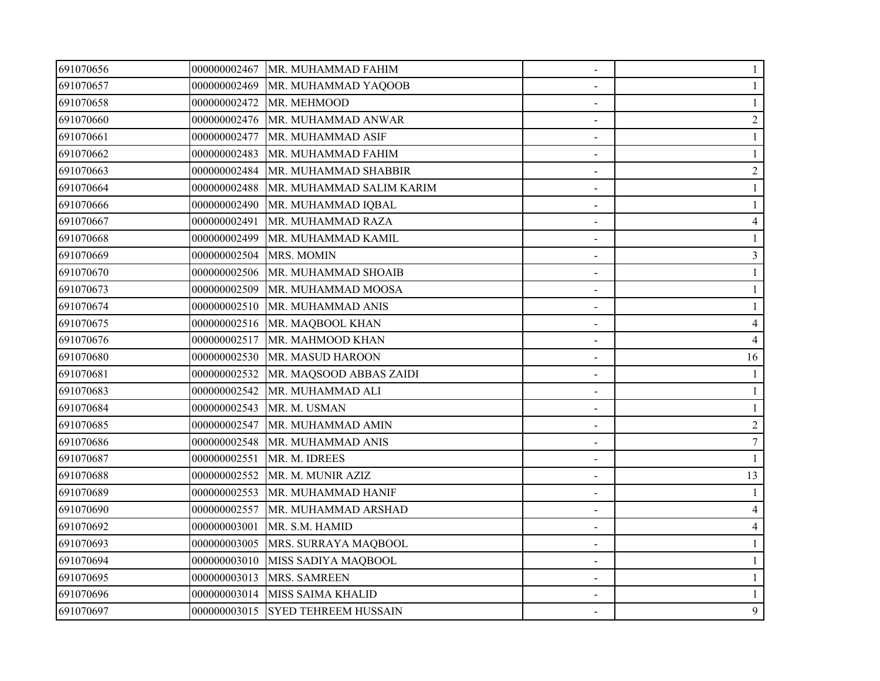| 691070656 |              | 000000002467   MR. MUHAMMAD FAHIM | $\overline{\phantom{a}}$ |                          |
|-----------|--------------|-----------------------------------|--------------------------|--------------------------|
| 691070657 |              | 000000002469 MR. MUHAMMAD YAQOOB  |                          |                          |
| 691070658 | 000000002472 | MR. MEHMOOD                       |                          |                          |
| 691070660 | 000000002476 | MR. MUHAMMAD ANWAR                |                          | $\overline{2}$           |
| 691070661 | 000000002477 | MR. MUHAMMAD ASIF                 | $\blacksquare$           |                          |
| 691070662 | 000000002483 | MR. MUHAMMAD FAHIM                |                          |                          |
| 691070663 | 000000002484 | MR. MUHAMMAD SHABBIR              |                          | $\overline{2}$           |
| 691070664 | 000000002488 | MR. MUHAMMAD SALIM KARIM          |                          |                          |
| 691070666 | 000000002490 | MR. MUHAMMAD IQBAL                |                          |                          |
| 691070667 | 000000002491 | MR. MUHAMMAD RAZA                 |                          | $\overline{\mathcal{A}}$ |
| 691070668 | 000000002499 | MR. MUHAMMAD KAMIL                |                          |                          |
| 691070669 | 000000002504 | MRS. MOMIN                        |                          | 3                        |
| 691070670 | 000000002506 | MR. MUHAMMAD SHOAIB               |                          |                          |
| 691070673 | 000000002509 | MR. MUHAMMAD MOOSA                |                          |                          |
| 691070674 | 000000002510 | MR. MUHAMMAD ANIS                 |                          |                          |
| 691070675 | 000000002516 | MR. MAQBOOL KHAN                  |                          | 4                        |
| 691070676 | 000000002517 | MR. MAHMOOD KHAN                  |                          | 4                        |
| 691070680 | 000000002530 | MR. MASUD HAROON                  |                          | 16                       |
| 691070681 | 000000002532 | MR. MAQSOOD ABBAS ZAIDI           |                          |                          |
| 691070683 | 000000002542 | MR. MUHAMMAD ALI                  |                          |                          |
| 691070684 | 000000002543 | MR. M. USMAN                      |                          |                          |
| 691070685 | 000000002547 | MR. MUHAMMAD AMIN                 |                          | $\overline{2}$           |
| 691070686 | 000000002548 | MR. MUHAMMAD ANIS                 |                          | $\boldsymbol{7}$         |
| 691070687 | 000000002551 | MR. M. IDREES                     |                          |                          |
| 691070688 | 000000002552 | MR. M. MUNIR AZIZ                 |                          | 13                       |
| 691070689 | 000000002553 | MR. MUHAMMAD HANIF                |                          |                          |
| 691070690 | 000000002557 | MR. MUHAMMAD ARSHAD               | $\blacksquare$           |                          |
| 691070692 | 000000003001 | MR. S.M. HAMID                    | $\sim$                   | 4                        |
| 691070693 | 000000003005 | MRS. SURRAYA MAQBOOL              |                          |                          |
| 691070694 | 000000003010 | MISS SADIYA MAQBOOL               |                          |                          |
| 691070695 | 000000003013 | MRS. SAMREEN                      |                          |                          |
| 691070696 |              | 000000003014 MISS SAIMA KHALID    |                          |                          |
| 691070697 |              | 000000003015 SYED TEHREEM HUSSAIN |                          | 9                        |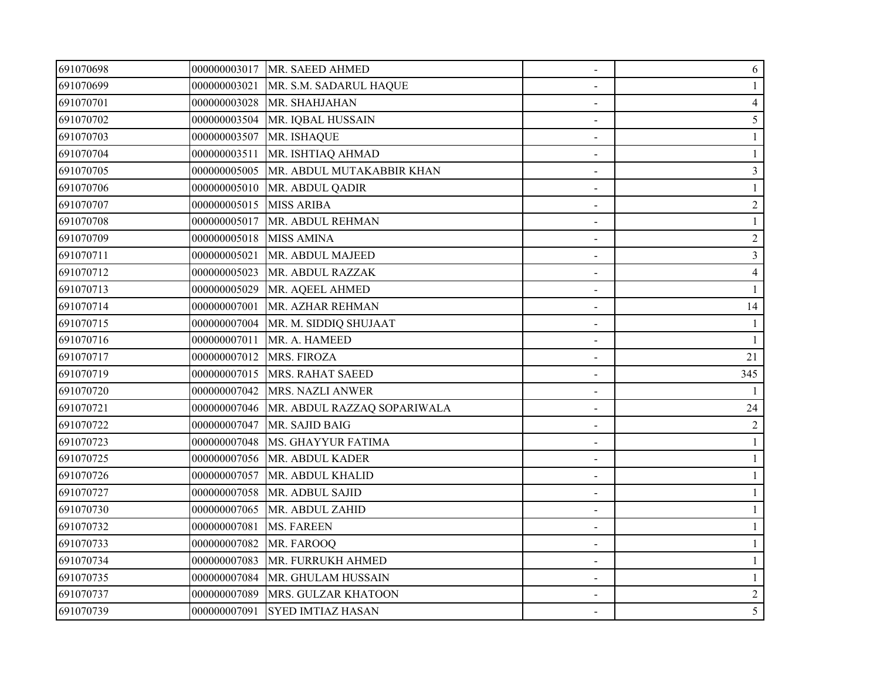| 691070698 |              | 000000003017 MR. SAEED AHMED | $\overline{\phantom{a}}$ | 6              |
|-----------|--------------|------------------------------|--------------------------|----------------|
| 691070699 | 000000003021 | MR. S.M. SADARUL HAQUE       |                          |                |
| 691070701 | 000000003028 | MR. SHAHJAHAN                |                          | $\overline{4}$ |
| 691070702 | 000000003504 | MR. IQBAL HUSSAIN            |                          | 5              |
| 691070703 | 000000003507 | MR. ISHAQUE                  | $\overline{\phantom{a}}$ |                |
| 691070704 | 000000003511 | MR. ISHTIAQ AHMAD            |                          |                |
| 691070705 | 000000005005 | MR. ABDUL MUTAKABBIR KHAN    |                          | 3              |
| 691070706 | 000000005010 | MR. ABDUL QADIR              |                          |                |
| 691070707 | 000000005015 | <b>MISS ARIBA</b>            |                          | $\overline{2}$ |
| 691070708 | 000000005017 | MR. ABDUL REHMAN             |                          |                |
| 691070709 | 000000005018 | <b>MISS AMINA</b>            |                          | $\overline{2}$ |
| 691070711 | 000000005021 | MR. ABDUL MAJEED             |                          | 3              |
| 691070712 | 000000005023 | MR. ABDUL RAZZAK             | $\blacksquare$           | $\overline{4}$ |
| 691070713 | 000000005029 | MR. AQEEL AHMED              |                          |                |
| 691070714 | 000000007001 | MR. AZHAR REHMAN             |                          | 14             |
| 691070715 | 000000007004 | MR. M. SIDDIQ SHUJAAT        |                          |                |
| 691070716 | 000000007011 | MR. A. HAMEED                |                          |                |
| 691070717 | 000000007012 | MRS. FIROZA                  |                          | 21             |
| 691070719 | 000000007015 | <b>MRS. RAHAT SAEED</b>      |                          | 345            |
| 691070720 | 000000007042 | MRS. NAZLI ANWER             |                          |                |
| 691070721 | 000000007046 | MR. ABDUL RAZZAQ SOPARIWALA  |                          | 24             |
| 691070722 | 000000007047 | MR. SAJID BAIG               |                          | $\overline{2}$ |
| 691070723 | 000000007048 | MS. GHAYYUR FATIMA           |                          |                |
| 691070725 | 000000007056 | MR. ABDUL KADER              |                          |                |
| 691070726 | 000000007057 | MR. ABDUL KHALID             |                          |                |
| 691070727 | 000000007058 | MR. ADBUL SAJID              |                          |                |
| 691070730 | 000000007065 | MR. ABDUL ZAHID              |                          |                |
| 691070732 | 000000007081 | <b>MS. FAREEN</b>            |                          |                |
| 691070733 | 000000007082 | MR. FAROOQ                   |                          |                |
| 691070734 | 000000007083 | MR. FURRUKH AHMED            |                          |                |
| 691070735 | 000000007084 | MR. GHULAM HUSSAIN           |                          |                |
| 691070737 | 000000007089 | MRS. GULZAR KHATOON          |                          | $\overline{c}$ |
| 691070739 | 000000007091 | <b>SYED IMTIAZ HASAN</b>     |                          | 5              |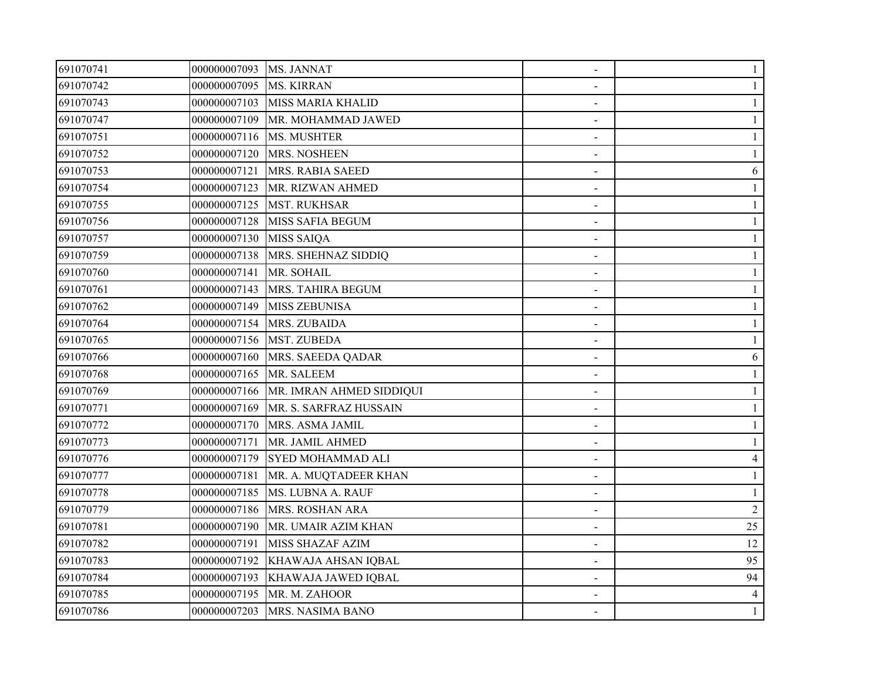| 691070741 | 000000007093 MS. JANNAT |                          | $\overline{\phantom{a}}$ |                |
|-----------|-------------------------|--------------------------|--------------------------|----------------|
| 691070742 | 000000007095            | <b>MS. KIRRAN</b>        |                          |                |
| 691070743 | 000000007103            | <b>MISS MARIA KHALID</b> |                          |                |
| 691070747 | 000000007109            | MR. MOHAMMAD JAWED       |                          |                |
| 691070751 | 000000007116            | MS. MUSHTER              | $\blacksquare$           |                |
| 691070752 | 000000007120            | MRS. NOSHEEN             |                          |                |
| 691070753 | 000000007121            | MRS. RABIA SAEED         |                          | 6              |
| 691070754 | 000000007123            | MR. RIZWAN AHMED         |                          |                |
| 691070755 | 000000007125            | <b>MST. RUKHSAR</b>      |                          |                |
| 691070756 | 000000007128            | <b>MISS SAFIA BEGUM</b>  |                          |                |
| 691070757 | 000000007130            | <b>MISS SAIQA</b>        |                          |                |
| 691070759 | 000000007138            | MRS. SHEHNAZ SIDDIQ      |                          |                |
| 691070760 | 000000007141            | MR. SOHAIL               | $\overline{\phantom{a}}$ |                |
| 691070761 | 000000007143            | MRS. TAHIRA BEGUM        |                          |                |
| 691070762 | 000000007149            | <b>MISS ZEBUNISA</b>     |                          |                |
| 691070764 | 000000007154            | MRS. ZUBAIDA             |                          |                |
| 691070765 | 000000007156            | <b>MST. ZUBEDA</b>       |                          |                |
| 691070766 | 000000007160            | MRS. SAEEDA QADAR        |                          | 6              |
| 691070768 | 000000007165            | MR. SALEEM               |                          |                |
| 691070769 | 000000007166            | MR. IMRAN AHMED SIDDIQUI |                          |                |
| 691070771 | 000000007169            | MR. S. SARFRAZ HUSSAIN   |                          |                |
| 691070772 | 000000007170            | MRS. ASMA JAMIL          |                          |                |
| 691070773 | 000000007171            | MR. JAMIL AHMED          |                          |                |
| 691070776 | 000000007179            | SYED MOHAMMAD ALI        |                          | $\overline{4}$ |
| 691070777 | 000000007181            | MR. A. MUQTADEER KHAN    |                          |                |
| 691070778 | 000000007185            | MS. LUBNA A. RAUF        |                          |                |
| 691070779 | 000000007186            | MRS. ROSHAN ARA          |                          | $\overline{2}$ |
| 691070781 | 000000007190            | MR. UMAIR AZIM KHAN      |                          | 25             |
| 691070782 | 000000007191            | <b>MISS SHAZAF AZIM</b>  |                          | 12             |
| 691070783 | 000000007192            | KHAWAJA AHSAN IQBAL      |                          | 95             |
| 691070784 | 000000007193            | KHAWAJA JAWED IQBAL      |                          | 94             |
| 691070785 | 000000007195            | MR. M. ZAHOOR            |                          | 4              |
| 691070786 | 000000007203            | MRS. NASIMA BANO         |                          | 1              |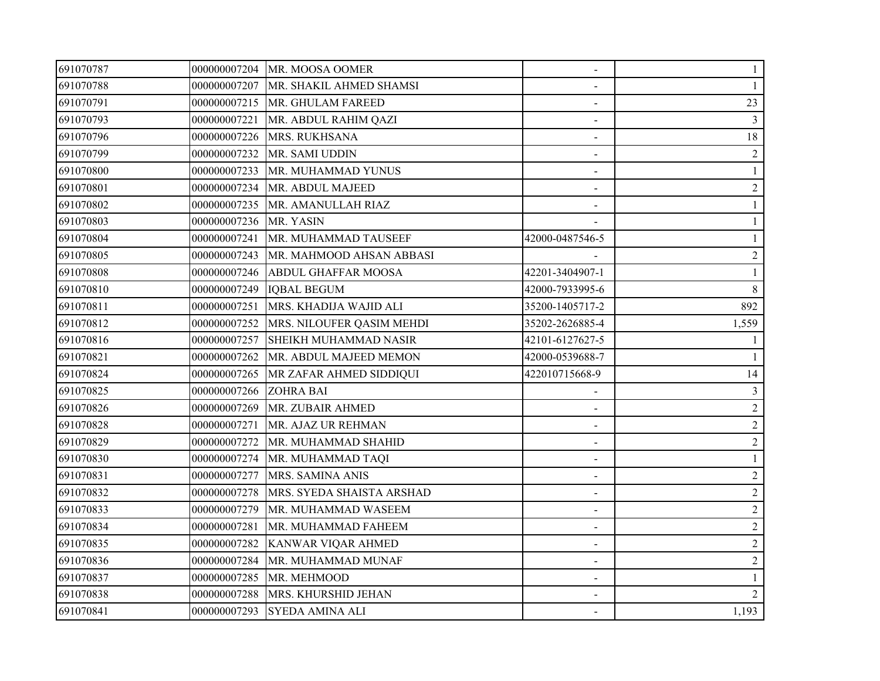| 691070787 |              | 000000007204 MR. MOOSA OOMER         |                 | 1              |
|-----------|--------------|--------------------------------------|-----------------|----------------|
| 691070788 |              | 000000007207 MR. SHAKIL AHMED SHAMSI |                 |                |
| 691070791 |              | 000000007215 MR. GHULAM FAREED       |                 | 23             |
| 691070793 | 000000007221 | MR. ABDUL RAHIM QAZI                 |                 | $\mathfrak{Z}$ |
| 691070796 | 000000007226 | MRS. RUKHSANA                        | $\blacksquare$  | 18             |
| 691070799 | 000000007232 | MR. SAMI UDDIN                       |                 | $\overline{2}$ |
| 691070800 | 000000007233 | MR. MUHAMMAD YUNUS                   |                 |                |
| 691070801 | 000000007234 | MR. ABDUL MAJEED                     |                 | $\overline{2}$ |
| 691070802 | 000000007235 | MR. AMANULLAH RIAZ                   |                 |                |
| 691070803 | 000000007236 | MR. YASIN                            |                 | $\mathbf{1}$   |
| 691070804 | 000000007241 | MR. MUHAMMAD TAUSEEF                 | 42000-0487546-5 |                |
| 691070805 | 000000007243 | MR. MAHMOOD AHSAN ABBASI             |                 | $\sqrt{2}$     |
| 691070808 | 000000007246 | <b>ABDUL GHAFFAR MOOSA</b>           | 42201-3404907-1 |                |
| 691070810 | 000000007249 | <b>IQBAL BEGUM</b>                   | 42000-7933995-6 | 8              |
| 691070811 | 000000007251 | MRS. KHADIJA WAJID ALI               | 35200-1405717-2 | 892            |
| 691070812 | 000000007252 | MRS. NILOUFER QASIM MEHDI            | 35202-2626885-4 | 1,559          |
| 691070816 | 000000007257 | SHEIKH MUHAMMAD NASIR                | 42101-6127627-5 |                |
| 691070821 | 000000007262 | MR. ABDUL MAJEED MEMON               | 42000-0539688-7 |                |
| 691070824 | 000000007265 | MR ZAFAR AHMED SIDDIQUI              | 422010715668-9  | 14             |
| 691070825 | 000000007266 | <b>ZOHRA BAI</b>                     |                 | 3              |
| 691070826 | 000000007269 | MR. ZUBAIR AHMED                     |                 | $\sqrt{2}$     |
| 691070828 | 000000007271 | MR. AJAZ UR REHMAN                   |                 | $\sqrt{2}$     |
| 691070829 | 000000007272 | MR. MUHAMMAD SHAHID                  |                 | $\sqrt{2}$     |
| 691070830 | 000000007274 | MR. MUHAMMAD TAQI                    |                 | 1              |
| 691070831 | 000000007277 | MRS. SAMINA ANIS                     |                 | $\overline{2}$ |
| 691070832 | 000000007278 | MRS. SYEDA SHAISTA ARSHAD            |                 | $\overline{2}$ |
| 691070833 | 000000007279 | MR. MUHAMMAD WASEEM                  |                 | $\sqrt{2}$     |
| 691070834 | 000000007281 | MR. MUHAMMAD FAHEEM                  |                 | $\overline{2}$ |
| 691070835 | 000000007282 | KANWAR VIQAR AHMED                   |                 | $\overline{2}$ |
| 691070836 | 000000007284 | MR. MUHAMMAD MUNAF                   |                 | $\overline{c}$ |
| 691070837 | 000000007285 | MR. MEHMOOD                          |                 | 1              |
| 691070838 | 000000007288 | MRS. KHURSHID JEHAN                  |                 | $\overline{2}$ |
| 691070841 |              | 000000007293 SYEDA AMINA ALI         |                 | 1,193          |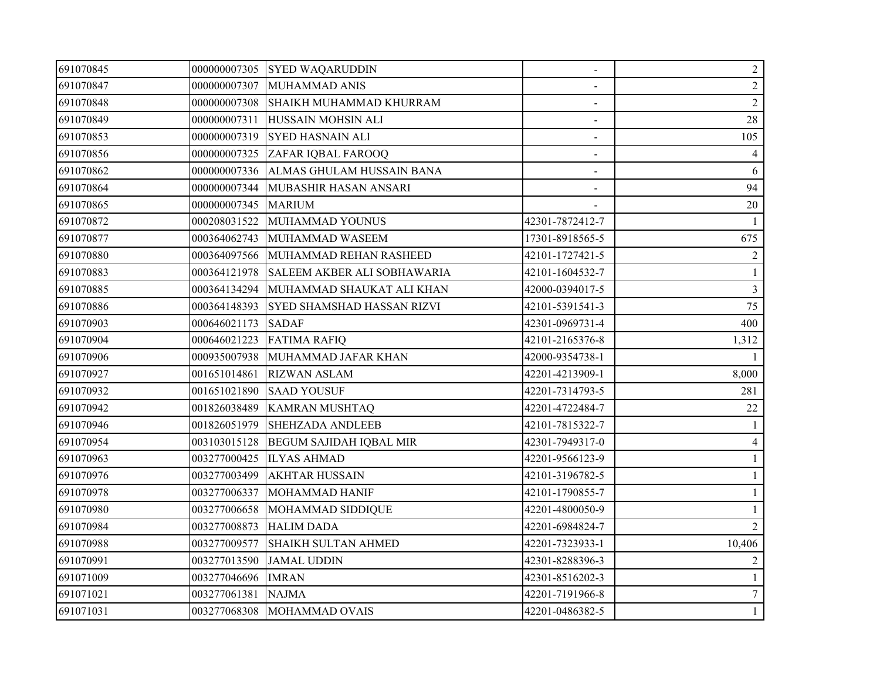| 691070845 |              | 000000007305 SYED WAQARUDDIN           | $\blacksquare$  | $\overline{2}$ |
|-----------|--------------|----------------------------------------|-----------------|----------------|
| 691070847 | 000000007307 | MUHAMMAD ANIS                          |                 | $\overline{2}$ |
| 691070848 | 000000007308 | SHAIKH MUHAMMAD KHURRAM                |                 | $\overline{2}$ |
| 691070849 | 000000007311 | HUSSAIN MOHSIN ALI                     |                 | 28             |
| 691070853 | 000000007319 | <b>SYED HASNAIN ALI</b>                | $\blacksquare$  | 105            |
| 691070856 | 000000007325 | ZAFAR IQBAL FAROOQ                     |                 | $\overline{4}$ |
| 691070862 | 000000007336 | ALMAS GHULAM HUSSAIN BANA              |                 | 6              |
| 691070864 | 000000007344 | MUBASHIR HASAN ANSARI                  |                 | 94             |
| 691070865 | 000000007345 | <b>MARIUM</b>                          |                 | $20\,$         |
| 691070872 | 000208031522 | MUHAMMAD YOUNUS                        | 42301-7872412-7 | $\overline{1}$ |
| 691070877 | 000364062743 | MUHAMMAD WASEEM                        | 17301-8918565-5 | 675            |
| 691070880 | 000364097566 | MUHAMMAD REHAN RASHEED                 | 42101-1727421-5 | $\overline{2}$ |
| 691070883 | 000364121978 | SALEEM AKBER ALI SOBHAWARIA            | 42101-1604532-7 | $\mathbf{1}$   |
| 691070885 |              | 000364134294 MUHAMMAD SHAUKAT ALI KHAN | 42000-0394017-5 | $\overline{3}$ |
| 691070886 | 000364148393 | SYED SHAMSHAD HASSAN RIZVI             | 42101-5391541-3 | 75             |
| 691070903 | 000646021173 | <b>SADAF</b>                           | 42301-0969731-4 | 400            |
| 691070904 |              | 000646021223 FATIMA RAFIQ              | 42101-2165376-8 | 1,312          |
| 691070906 |              | 000935007938 MUHAMMAD JAFAR KHAN       | 42000-9354738-1 |                |
| 691070927 | 001651014861 | <b>RIZWAN ASLAM</b>                    | 42201-4213909-1 | 8,000          |
| 691070932 | 001651021890 | <b>SAAD YOUSUF</b>                     | 42201-7314793-5 | 281            |
| 691070942 | 001826038489 | <b>KAMRAN MUSHTAQ</b>                  | 42201-4722484-7 | 22             |
| 691070946 |              | 001826051979 SHEHZADA ANDLEEB          | 42101-7815322-7 |                |
| 691070954 |              | 003103015128 BEGUM SAJIDAH IQBAL MIR   | 42301-7949317-0 | $\overline{4}$ |
| 691070963 | 003277000425 | <b>ILYAS AHMAD</b>                     | 42201-9566123-9 |                |
| 691070976 | 003277003499 | <b>AKHTAR HUSSAIN</b>                  | 42101-3196782-5 |                |
| 691070978 | 003277006337 | MOHAMMAD HANIF                         | 42101-1790855-7 |                |
| 691070980 | 003277006658 | MOHAMMAD SIDDIQUE                      | 42201-4800050-9 |                |
| 691070984 | 003277008873 | <b>HALIM DADA</b>                      | 42201-6984824-7 | $\overline{2}$ |
| 691070988 | 003277009577 | <b>SHAIKH SULTAN AHMED</b>             | 42201-7323933-1 | 10,406         |
| 691070991 | 003277013590 | <b>JAMAL UDDIN</b>                     | 42301-8288396-3 | 2              |
| 691071009 | 003277046696 | <b>IMRAN</b>                           | 42301-8516202-3 | $\mathbf{1}$   |
| 691071021 | 003277061381 | <b>NAJMA</b>                           | 42201-7191966-8 | $\overline{7}$ |
| 691071031 |              | 003277068308 MOHAMMAD OVAIS            | 42201-0486382-5 | $\mathbf{1}$   |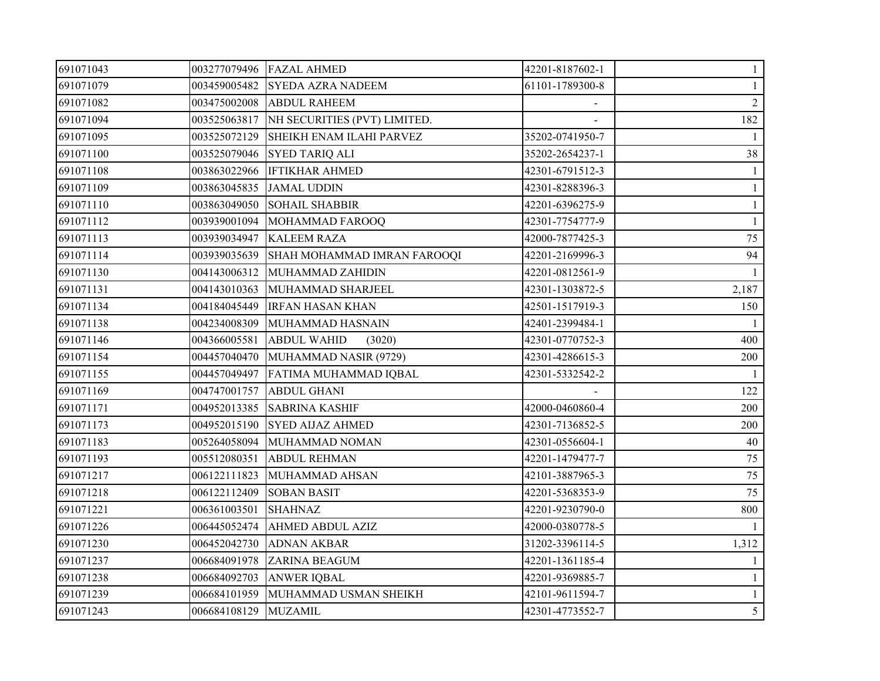| 691071043 |                      | 003277079496 FAZAL AHMED                  | 42201-8187602-1 | $\mathbf{1}$   |
|-----------|----------------------|-------------------------------------------|-----------------|----------------|
| 691071079 |                      | 003459005482 SYEDA AZRA NADEEM            | 61101-1789300-8 |                |
| 691071082 |                      | 003475002008 ABDUL RAHEEM                 |                 | 2              |
| 691071094 |                      | 003525063817 NH SECURITIES (PVT) LIMITED. |                 | 182            |
| 691071095 | 003525072129         | SHEIKH ENAM ILAHI PARVEZ                  | 35202-0741950-7 | -1             |
| 691071100 | 003525079046         | <b>SYED TARIQ ALI</b>                     | 35202-2654237-1 | 38             |
| 691071108 | 003863022966         | <b>IFTIKHAR AHMED</b>                     | 42301-6791512-3 |                |
| 691071109 |                      | 003863045835 JAMAL UDDIN                  | 42301-8288396-3 |                |
| 691071110 | 003863049050         | <b>SOHAIL SHABBIR</b>                     | 42201-6396275-9 |                |
| 691071112 |                      | 003939001094 MOHAMMAD FAROOQ              | 42301-7754777-9 | $\mathbf{1}$   |
| 691071113 |                      | 003939034947 KALEEM RAZA                  | 42000-7877425-3 | 75             |
| 691071114 | 003939035639         | SHAH MOHAMMAD IMRAN FAROOQI               | 42201-2169996-3 | 94             |
| 691071130 | 004143006312         | MUHAMMAD ZAHIDIN                          | 42201-0812561-9 |                |
| 691071131 | 004143010363         | MUHAMMAD SHARJEEL                         | 42301-1303872-5 | 2,187          |
| 691071134 | 004184045449         | <b>IRFAN HASAN KHAN</b>                   | 42501-1517919-3 | 150            |
| 691071138 |                      | 004234008309 MUHAMMAD HASNAIN             | 42401-2399484-1 |                |
| 691071146 | 004366005581         | <b>ABDUL WAHID</b><br>(3020)              | 42301-0770752-3 | 400            |
| 691071154 |                      | 004457040470 MUHAMMAD NASIR (9729)        | 42301-4286615-3 | 200            |
| 691071155 |                      | 004457049497 FATIMA MUHAMMAD IQBAL        | 42301-5332542-2 |                |
| 691071169 | 004747001757         | <b>ABDUL GHANI</b>                        |                 | 122            |
| 691071171 | 004952013385         | <b>SABRINA KASHIF</b>                     | 42000-0460860-4 | 200            |
| 691071173 | 004952015190         | <b>SYED AIJAZ AHMED</b>                   | 42301-7136852-5 | 200            |
| 691071183 | 005264058094         | MUHAMMAD NOMAN                            | 42301-0556604-1 | 40             |
| 691071193 | 005512080351         | <b>ABDUL REHMAN</b>                       | 42201-1479477-7 | 75             |
| 691071217 | 006122111823         | MUHAMMAD AHSAN                            | 42101-3887965-3 | 75             |
| 691071218 | 006122112409         | <b>SOBAN BASIT</b>                        | 42201-5368353-9 | 75             |
| 691071221 | 006361003501         | <b>SHAHNAZ</b>                            | 42201-9230790-0 | 800            |
| 691071226 | 006445052474         | <b>AHMED ABDUL AZIZ</b>                   | 42000-0380778-5 |                |
| 691071230 | 006452042730         | <b>ADNAN AKBAR</b>                        | 31202-3396114-5 | 1,312          |
| 691071237 | 006684091978         | <b>ZARINA BEAGUM</b>                      | 42201-1361185-4 |                |
| 691071238 | 006684092703         | <b>ANWER IQBAL</b>                        | 42201-9369885-7 |                |
| 691071239 |                      | 006684101959 MUHAMMAD USMAN SHEIKH        | 42101-9611594-7 |                |
| 691071243 | 006684108129 MUZAMIL |                                           | 42301-4773552-7 | 5 <sup>5</sup> |